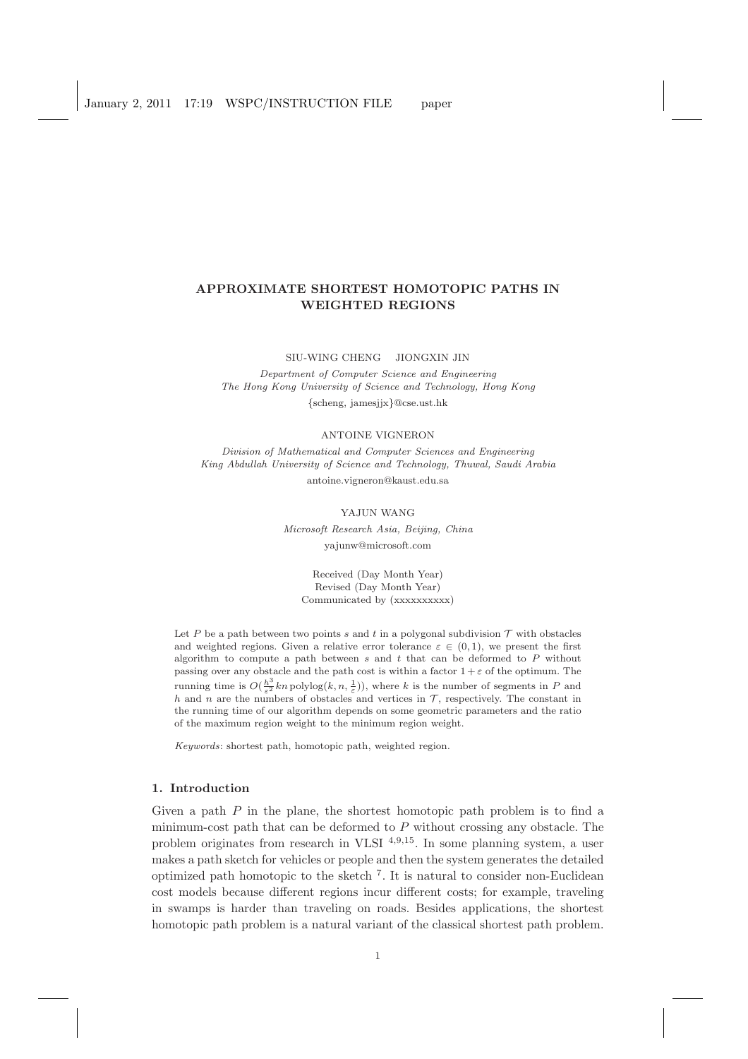# APPROXIMATE SHORTEST HOMOTOPIC PATHS IN WEIGHTED REGIONS

SIU-WING CHENG JIONGXIN JIN

Department of Computer Science and Engineering The Hong Kong University of Science and Technology, Hong Kong {scheng, jamesjjx}@cse.ust.hk

#### ANTOINE VIGNERON

Division of Mathematical and Computer Sciences and Engineering King Abdullah University of Science and Technology, Thuwal, Saudi Arabia antoine.vigneron@kaust.edu.sa

#### YAJUN WANG

Microsoft Research Asia, Beijing, China yajunw@microsoft.com

Received (Day Month Year) Revised (Day Month Year) Communicated by (xxxxxxxxxx)

Let P be a path between two points s and t in a polygonal subdivision  $\mathcal T$  with obstacles and weighted regions. Given a relative error tolerance  $\varepsilon \in (0,1)$ , we present the first algorithm to compute a path between  $s$  and  $t$  that can be deformed to  $P$  without passing over any obstacle and the path cost is within a factor  $1+\varepsilon$  of the optimum. The running time is  $O(\frac{h^3}{\varepsilon^2}kn \text{ polylog}(k, n, \frac{1}{\varepsilon}))$ , where k is the number of segments in P and h and n are the numbers of obstacles and vertices in  $\mathcal T$ , respectively. The constant in the running time of our algorithm depends on some geometric parameters and the ratio of the maximum region weight to the minimum region weight.

Keywords: shortest path, homotopic path, weighted region.

### 1. Introduction

Given a path  $P$  in the plane, the shortest homotopic path problem is to find a minimum-cost path that can be deformed to  $P$  without crossing any obstacle. The problem originates from research in VLSI  $^{4,9,15}$ . In some planning system, a user makes a path sketch for vehicles or people and then the system generates the detailed optimized path homotopic to the sketch <sup>7</sup> . It is natural to consider non-Euclidean cost models because different regions incur different costs; for example, traveling in swamps is harder than traveling on roads. Besides applications, the shortest homotopic path problem is a natural variant of the classical shortest path problem.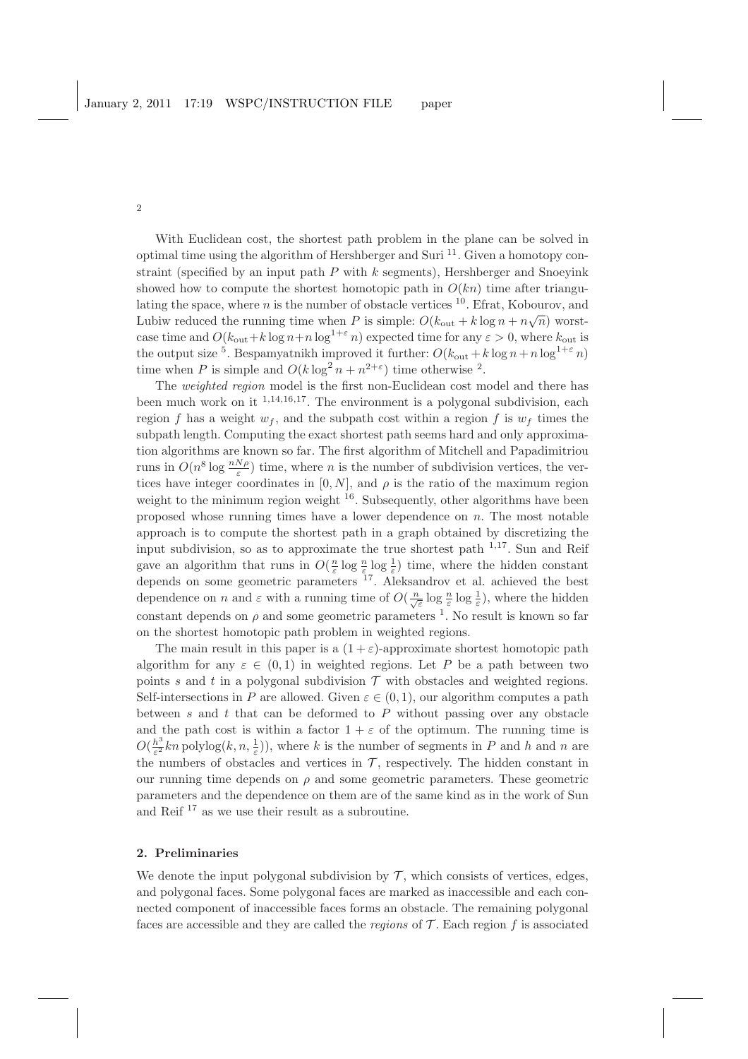With Euclidean cost, the shortest path problem in the plane can be solved in optimal time using the algorithm of Hershberger and Suri  $^{11}$ . Given a homotopy constraint (specified by an input path  $P$  with  $k$  segments), Hershberger and Snoevink showed how to compute the shortest homotopic path in  $O(kn)$  time after triangulating the space, where  $n$  is the number of obstacle vertices  $10$ . Efrat, Kobourov, and Lubiw reduced the running time when P is simple:  $O(k_{\text{out}} + k \log n + n\sqrt{n})$  worstcase time and  $O(k_{\text{out}}+k \log n+n \log^{1+\epsilon} n)$  expected time for any  $\epsilon > 0$ , where  $k_{\text{out}}$  is the output size <sup>5</sup>. Bespamyatnikh improved it further:  $O(k_{\text{out}} + k \log n + n \log^{1+\epsilon} n)$ time when P is simple and  $O(k \log^2 n + n^{2+\epsilon})$  time otherwise <sup>2</sup>.

The *weighted region* model is the first non-Euclidean cost model and there has been much work on it  $1,14,16,17$ . The environment is a polygonal subdivision, each region f has a weight  $w_f$ , and the subpath cost within a region f is  $w_f$  times the subpath length. Computing the exact shortest path seems hard and only approximation algorithms are known so far. The first algorithm of Mitchell and Papadimitriou runs in  $O(n^8 \log \frac{nN\rho}{\varepsilon})$  time, where *n* is the number of subdivision vertices, the vertices have integer coordinates in [0, N], and  $\rho$  is the ratio of the maximum region weight to the minimum region weight  $16$ . Subsequently, other algorithms have been proposed whose running times have a lower dependence on  $n$ . The most notable approach is to compute the shortest path in a graph obtained by discretizing the input subdivision, so as to approximate the true shortest path  $1,17$ . Sun and Reif gave an algorithm that runs in  $O(\frac{n}{\varepsilon} \log \frac{n}{\varepsilon})$  (ime, where the hidden constant depends on some geometric parameters <sup>17</sup>. Aleksandrov et al. achieved the best dependence on n and  $\varepsilon$  with a running time of  $O(\frac{n}{\sqrt{\varepsilon}}\log\frac{n}{\varepsilon}\log\frac{1}{\varepsilon})$ , where the hidden constant depends on  $\rho$  and some geometric parameters <sup>1</sup>. No result is known so far on the shortest homotopic path problem in weighted regions.

The main result in this paper is a  $(1+\varepsilon)$ -approximate shortest homotopic path algorithm for any  $\varepsilon \in (0,1)$  in weighted regions. Let P be a path between two points s and t in a polygonal subdivision  $\mathcal T$  with obstacles and weighted regions. Self-intersections in P are allowed. Given  $\varepsilon \in (0, 1)$ , our algorithm computes a path between  $s$  and  $t$  that can be deformed to  $P$  without passing over any obstacle and the path cost is within a factor  $1 + \varepsilon$  of the optimum. The running time is  $O(\frac{h^3}{\varepsilon^2})$  $\frac{h^3}{\varepsilon^2}$  kn polylog $(k, n, \frac{1}{\varepsilon})$ , where k is the number of segments in P and h and n are the numbers of obstacles and vertices in  $\mathcal{T}$ , respectively. The hidden constant in our running time depends on  $\rho$  and some geometric parameters. These geometric parameters and the dependence on them are of the same kind as in the work of Sun and Reif <sup>17</sup> as we use their result as a subroutine.

### 2. Preliminaries

We denote the input polygonal subdivision by  $\mathcal T$ , which consists of vertices, edges, and polygonal faces. Some polygonal faces are marked as inaccessible and each connected component of inaccessible faces forms an obstacle. The remaining polygonal faces are accessible and they are called the *regions* of  $T$ . Each region  $f$  is associated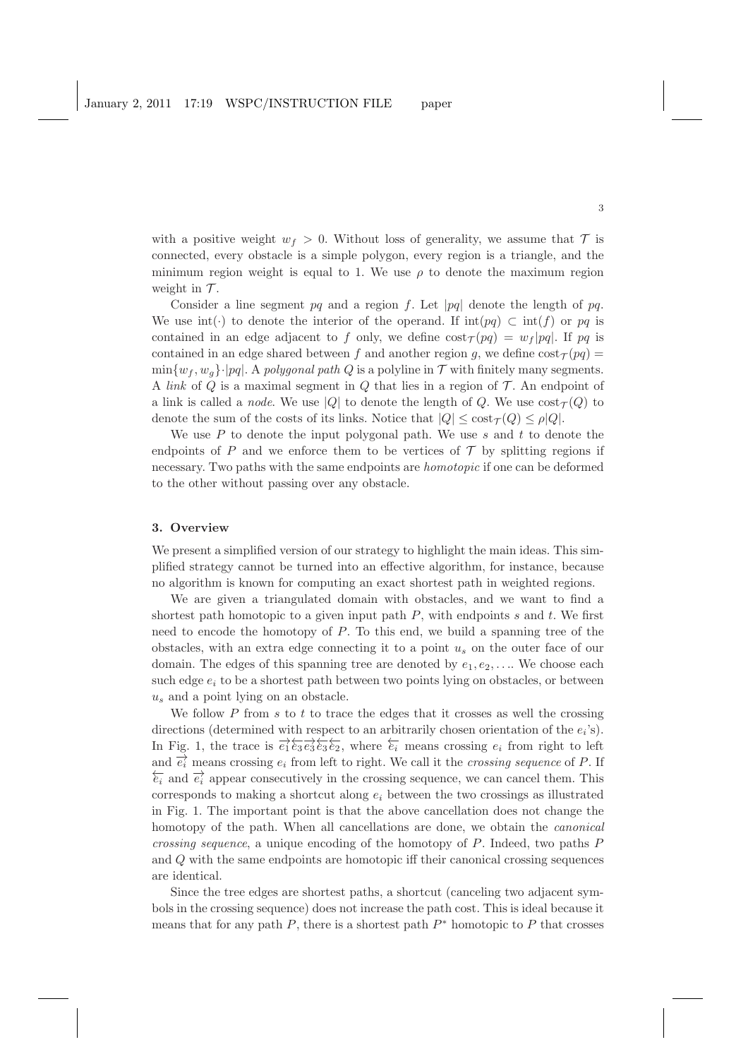with a positive weight  $w_f > 0$ . Without loss of generality, we assume that  $\mathcal T$  is connected, every obstacle is a simple polygon, every region is a triangle, and the minimum region weight is equal to 1. We use  $\rho$  to denote the maximum region weight in  $\mathcal{T}$ .

Consider a line segment  $pq$  and a region f. Let |pq| denote the length of pq. We use int(·) to denote the interior of the operand. If  $\text{int}(pq) \subset \text{int}(f)$  or pq is contained in an edge adjacent to f only, we define  $\cot(\tau(pq)) = w_f |pq|$ . If pq is contained in an edge shared between f and another region g, we define  $\cos \tau (pq) =$  $\min\{w_f, w_g\}$ ·|pq|. A *polygonal path* Q is a polyline in  $\mathcal T$  with finitely many segments. A *link* of  $Q$  is a maximal segment in  $Q$  that lies in a region of  $T$ . An endpoint of a link is called a *node*. We use |Q| to denote the length of Q. We use  $\cos \tau(Q)$  to denote the sum of the costs of its links. Notice that  $|Q| \leq \text{cost}_{\mathcal{T}}(Q) \leq \rho |Q|$ .

We use  $P$  to denote the input polygonal path. We use  $s$  and  $t$  to denote the endpoints of P and we enforce them to be vertices of  $\mathcal T$  by splitting regions if necessary. Two paths with the same endpoints are *homotopic* if one can be deformed to the other without passing over any obstacle.

### 3. Overview

We present a simplified version of our strategy to highlight the main ideas. This simplified strategy cannot be turned into an effective algorithm, for instance, because no algorithm is known for computing an exact shortest path in weighted regions.

We are given a triangulated domain with obstacles, and we want to find a shortest path homotopic to a given input path  $P$ , with endpoints  $s$  and  $t$ . We first need to encode the homotopy of  $P$ . To this end, we build a spanning tree of the obstacles, with an extra edge connecting it to a point  $u_s$  on the outer face of our domain. The edges of this spanning tree are denoted by  $e_1, e_2, \ldots$ . We choose each such edge  $e_i$  to be a shortest path between two points lying on obstacles, or between  $u<sub>s</sub>$  and a point lying on an obstacle.

We follow  $P$  from  $s$  to  $t$  to trace the edges that it crosses as well the crossing directions (determined with respect to an arbitrarily chosen orientation of the  $e_i$ 's). In Fig. 1, the trace is  $\overrightarrow{e_1} \overrightarrow{e_3} \overrightarrow{e_3} \overleftarrow{e_3}$ , where  $\overleftarrow{e_i}$  means crossing  $e_i$  from right to left and  $\vec{e}_i$  means crossing  $e_i$  from left to right. We call it the *crossing sequence* of P. If  $\overleftarrow{e_i}$  and  $\overrightarrow{e_i}$  appear consecutively in the crossing sequence, we can cancel them. This corresponds to making a shortcut along  $e_i$  between the two crossings as illustrated in Fig. 1. The important point is that the above cancellation does not change the homotopy of the path. When all cancellations are done, we obtain the *canonical crossing sequence*, a unique encoding of the homotopy of P. Indeed, two paths P and Q with the same endpoints are homotopic iff their canonical crossing sequences are identical.

Since the tree edges are shortest paths, a shortcut (canceling two adjacent symbols in the crossing sequence) does not increase the path cost. This is ideal because it means that for any path  $P$ , there is a shortest path  $P^*$  homotopic to  $P$  that crosses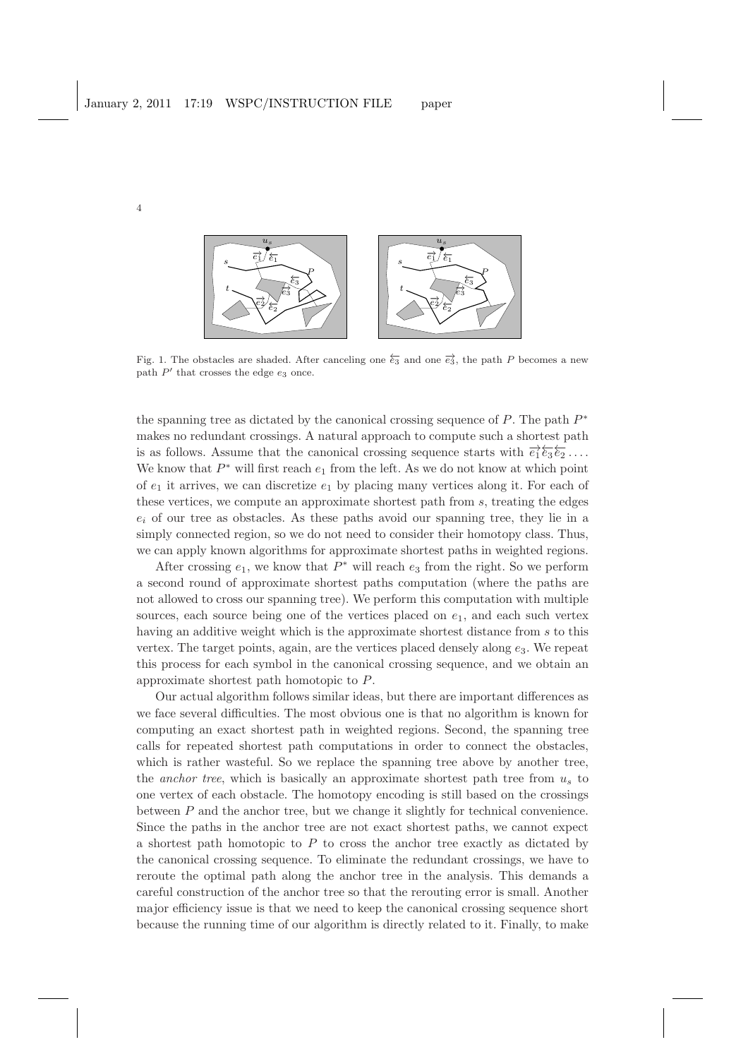

Fig. 1. The obstacles are shaded. After canceling one  $\overline{\epsilon_3}$  and one  $\overline{\epsilon_3}$ , the path P becomes a new path  $P'$  that crosses the edge  $e_3$  once.

the spanning tree as dictated by the canonical crossing sequence of  $P$ . The path  $P^*$ makes no redundant crossings. A natural approach to compute such a shortest path is as follows. Assume that the canonical crossing sequence starts with  $\overrightarrow{e_1} \overleftarrow{e_3} \overleftarrow{e_2} \ldots$ We know that  $P^*$  will first reach  $e_1$  from the left. As we do not know at which point of  $e_1$  it arrives, we can discretize  $e_1$  by placing many vertices along it. For each of these vertices, we compute an approximate shortest path from s, treating the edges  $e_i$  of our tree as obstacles. As these paths avoid our spanning tree, they lie in a simply connected region, so we do not need to consider their homotopy class. Thus, we can apply known algorithms for approximate shortest paths in weighted regions.

After crossing  $e_1$ , we know that  $P^*$  will reach  $e_3$  from the right. So we perform a second round of approximate shortest paths computation (where the paths are not allowed to cross our spanning tree). We perform this computation with multiple sources, each source being one of the vertices placed on  $e_1$ , and each such vertex having an additive weight which is the approximate shortest distance from s to this vertex. The target points, again, are the vertices placed densely along  $e_3$ . We repeat this process for each symbol in the canonical crossing sequence, and we obtain an approximate shortest path homotopic to P.

Our actual algorithm follows similar ideas, but there are important differences as we face several difficulties. The most obvious one is that no algorithm is known for computing an exact shortest path in weighted regions. Second, the spanning tree calls for repeated shortest path computations in order to connect the obstacles, which is rather wasteful. So we replace the spanning tree above by another tree, the *anchor tree*, which is basically an approximate shortest path tree from u<sup>s</sup> to one vertex of each obstacle. The homotopy encoding is still based on the crossings between P and the anchor tree, but we change it slightly for technical convenience. Since the paths in the anchor tree are not exact shortest paths, we cannot expect a shortest path homotopic to  $P$  to cross the anchor tree exactly as dictated by the canonical crossing sequence. To eliminate the redundant crossings, we have to reroute the optimal path along the anchor tree in the analysis. This demands a careful construction of the anchor tree so that the rerouting error is small. Another major efficiency issue is that we need to keep the canonical crossing sequence short because the running time of our algorithm is directly related to it. Finally, to make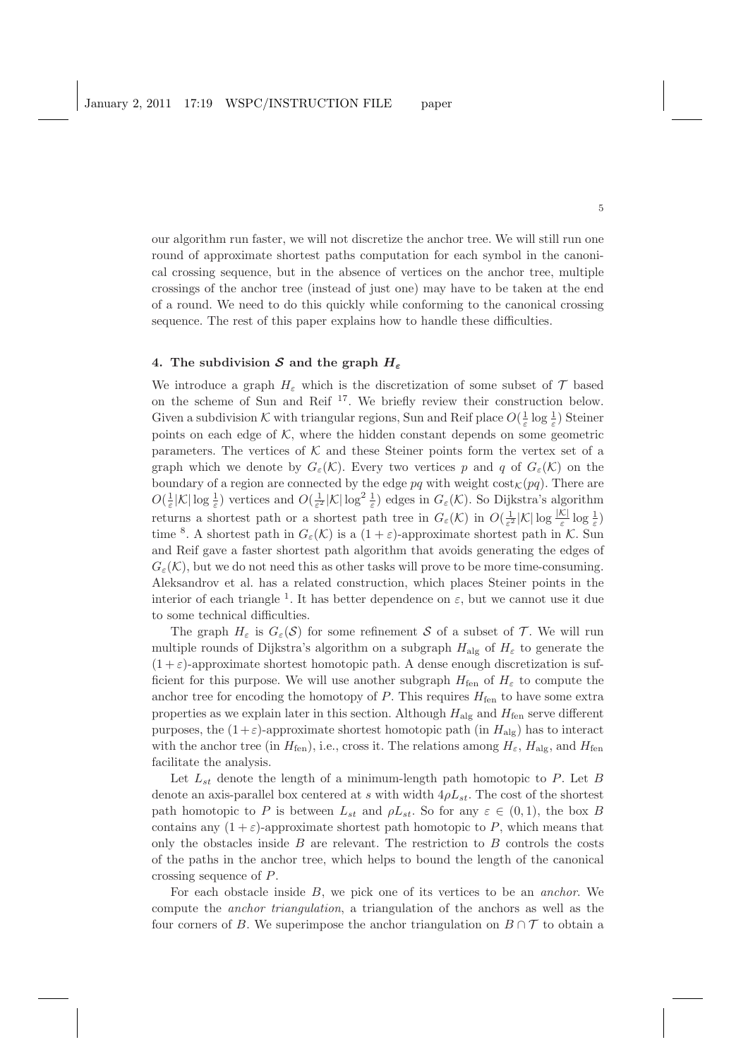our algorithm run faster, we will not discretize the anchor tree. We will still run one round of approximate shortest paths computation for each symbol in the canonical crossing sequence, but in the absence of vertices on the anchor tree, multiple crossings of the anchor tree (instead of just one) may have to be taken at the end of a round. We need to do this quickly while conforming to the canonical crossing sequence. The rest of this paper explains how to handle these difficulties.

### 4. The subdivision S and the graph  $H_{\varepsilon}$

We introduce a graph  $H_{\varepsilon}$  which is the discretization of some subset of  $\mathcal T$  based on the scheme of Sun and Reif <sup>17</sup>. We briefly review their construction below. Given a subdivision  $K$  with triangular regions, Sun and Reif place  $O(\frac{1}{\varepsilon} \log \frac{1}{\varepsilon})$  Steiner points on each edge of  $K$ , where the hidden constant depends on some geometric parameters. The vertices of  $K$  and these Steiner points form the vertex set of a graph which we denote by  $G_{\varepsilon}(\mathcal{K})$ . Every two vertices p and q of  $G_{\varepsilon}(\mathcal{K})$  on the boundary of a region are connected by the edge  $pq$  with weight  $\cos \chi (pq)$ . There are  $O(\frac{1}{\varepsilon}|\mathcal{K}|\log \frac{1}{\varepsilon})$  vertices and  $O(\frac{1}{\varepsilon^2}|\mathcal{K}|\log^2 \frac{1}{\varepsilon})$  edges in  $G_{\varepsilon}(\mathcal{K})$ . So Dijkstra's algorithm returns a shortest path or a shortest path tree in  $G_{\varepsilon}(\mathcal{K})$  in  $O(\frac{1}{\varepsilon^2}|\mathcal{K}| \log \frac{|\mathcal{K}|}{\varepsilon} \log \frac{1}{\varepsilon})$ time <sup>8</sup>. A shortest path in  $G_{\varepsilon}(\mathcal{K})$  is a  $(1+\varepsilon)$ -approximate shortest path in  $\mathcal{K}$ . Sun and Reif gave a faster shortest path algorithm that avoids generating the edges of  $G_{\varepsilon}(\mathcal{K})$ , but we do not need this as other tasks will prove to be more time-consuming. Aleksandrov et al. has a related construction, which places Steiner points in the interior of each triangle<sup>1</sup>. It has better dependence on  $\varepsilon$ , but we cannot use it due to some technical difficulties.

The graph  $H_{\varepsilon}$  is  $G_{\varepsilon}(\mathcal{S})$  for some refinement S of a subset of T. We will run multiple rounds of Dijkstra's algorithm on a subgraph  $H_{\text{alg}}$  of  $H_{\varepsilon}$  to generate the  $(1 + \varepsilon)$ -approximate shortest homotopic path. A dense enough discretization is sufficient for this purpose. We will use another subgraph  $H_{\text{fen}}$  of  $H_{\varepsilon}$  to compute the anchor tree for encoding the homotopy of  $P$ . This requires  $H_{\text{fen}}$  to have some extra properties as we explain later in this section. Although  $H_{\text{alg}}$  and  $H_{\text{fen}}$  serve different purposes, the  $(1+\varepsilon)$ -approximate shortest homotopic path (in  $H_{\text{alg}}$ ) has to interact with the anchor tree (in  $H_{\text{fen}}$ ), i.e., cross it. The relations among  $H_{\varepsilon}$ ,  $H_{\text{alg}}$ , and  $H_{\text{fen}}$ facilitate the analysis.

Let  $L_{st}$  denote the length of a minimum-length path homotopic to P. Let B denote an axis-parallel box centered at s with width  $4\rho L_{st}$ . The cost of the shortest path homotopic to P is between  $L_{st}$  and  $\rho L_{st}$ . So for any  $\varepsilon \in (0,1)$ , the box B contains any  $(1 + \varepsilon)$ -approximate shortest path homotopic to P, which means that only the obstacles inside  $B$  are relevant. The restriction to  $B$  controls the costs of the paths in the anchor tree, which helps to bound the length of the canonical crossing sequence of P.

For each obstacle inside B, we pick one of its vertices to be an *anchor*. We compute the *anchor triangulation*, a triangulation of the anchors as well as the four corners of B. We superimpose the anchor triangulation on  $B \cap \mathcal{T}$  to obtain a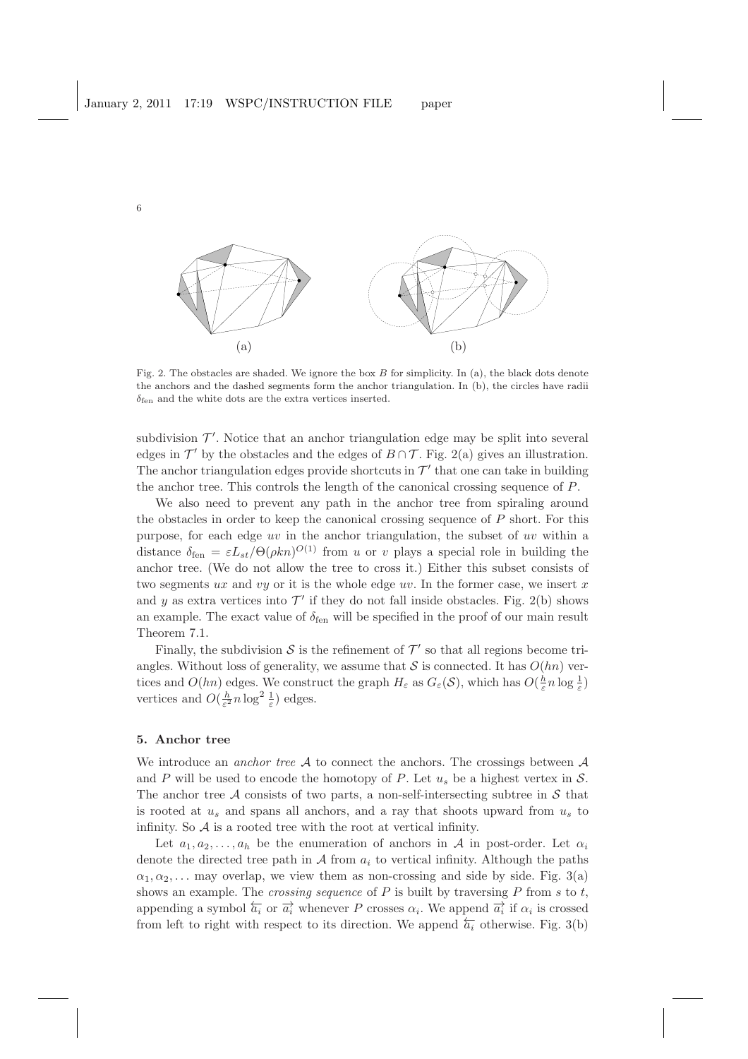

Fig. 2. The obstacles are shaded. We ignore the box  $B$  for simplicity. In (a), the black dots denote the anchors and the dashed segments form the anchor triangulation. In (b), the circles have radii  $\delta_{\text{fen}}$  and the white dots are the extra vertices inserted.

subdivision  $\mathcal{T}'$ . Notice that an anchor triangulation edge may be split into several edges in  $\mathcal{T}'$  by the obstacles and the edges of  $B \cap \mathcal{T}$ . Fig. 2(a) gives an illustration. The anchor triangulation edges provide shortcuts in  $\mathcal{T}'$  that one can take in building the anchor tree. This controls the length of the canonical crossing sequence of P.

We also need to prevent any path in the anchor tree from spiraling around the obstacles in order to keep the canonical crossing sequence of  $P$  short. For this purpose, for each edge  $uv$  in the anchor triangulation, the subset of  $uv$  within a distance  $\delta_{\text{fen}} = \varepsilon L_{st} / \Theta(\rho k n)^{O(1)}$  from u or v plays a special role in building the anchor tree. (We do not allow the tree to cross it.) Either this subset consists of two segments  $ux$  and  $vy$  or it is the whole edge  $uv$ . In the former case, we insert x and y as extra vertices into  $\mathcal{T}'$  if they do not fall inside obstacles. Fig. 2(b) shows an example. The exact value of  $\delta_{\text{fen}}$  will be specified in the proof of our main result Theorem 7.1.

Finally, the subdivision  $S$  is the refinement of  $T'$  so that all regions become triangles. Without loss of generality, we assume that  $S$  is connected. It has  $O(hn)$  vertices and  $O(hn)$  edges. We construct the graph  $H_{\varepsilon}$  as  $G_{\varepsilon}(\mathcal{S})$ , which has  $O(\frac{h}{\varepsilon}n\log\frac{1}{\varepsilon})$ vertices and  $O(\frac{h}{\varepsilon^2} n \log^2 \frac{1}{\varepsilon})$  edges.

#### 5. Anchor tree

We introduce an *anchor tree* A to connect the anchors. The crossings between A and P will be used to encode the homotopy of P. Let  $u_s$  be a highest vertex in S. The anchor tree  $A$  consists of two parts, a non-self-intersecting subtree in  $S$  that is rooted at  $u_s$  and spans all anchors, and a ray that shoots upward from  $u_s$  to infinity. So  $A$  is a rooted tree with the root at vertical infinity.

Let  $a_1, a_2, \ldots, a_h$  be the enumeration of anchors in A in post-order. Let  $\alpha_i$ denote the directed tree path in  $A$  from  $a_i$  to vertical infinity. Although the paths  $\alpha_1, \alpha_2, \ldots$  may overlap, we view them as non-crossing and side by side. Fig. 3(a) shows an example. The *crossing sequence* of P is built by traversing P from s to t, appending a symbol  $\overleftarrow{a_i}$  or  $\overrightarrow{a_i}$  whenever P crosses  $\alpha_i$ . We append  $\overrightarrow{a_i}$  if  $\alpha_i$  is crossed from left to right with respect to its direction. We append  $\overleftarrow{a_i}$  otherwise. Fig. 3(b)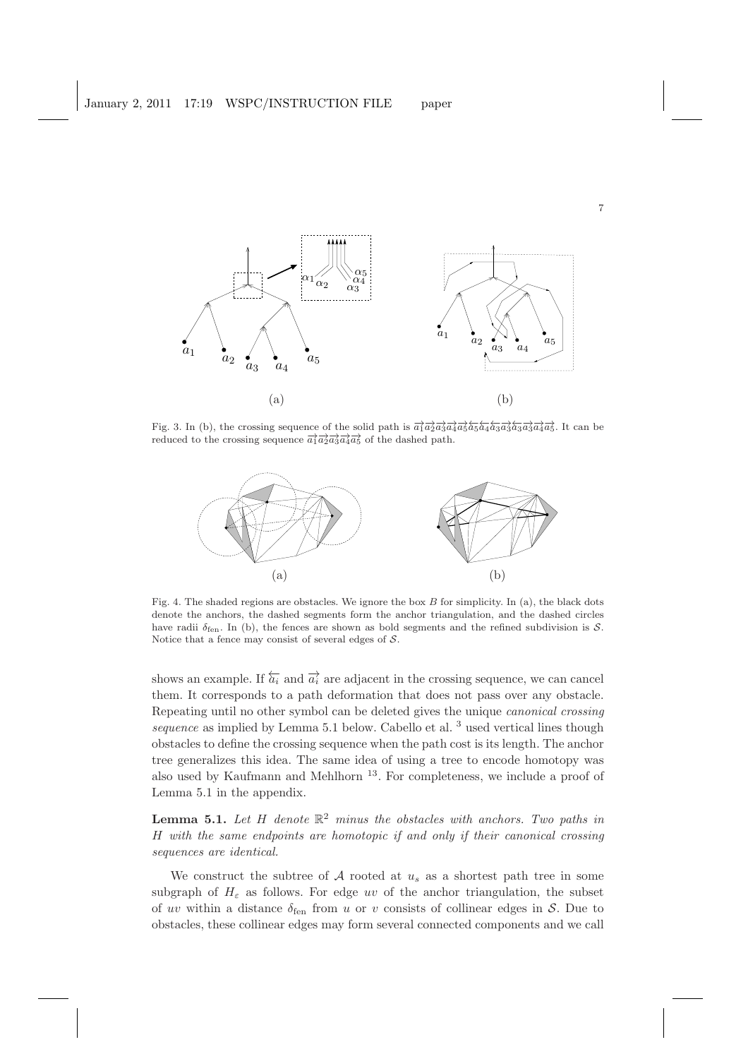$a_1$ 



7

Fig. 3. In (b), the crossing sequence of the solid path is  $\overrightarrow{a_1} \overrightarrow{a_2} \overrightarrow{a_3} \overrightarrow{a_4} \overrightarrow{a_5} \overrightarrow{a_5} \overrightarrow{a_4} \overrightarrow{a_3} \overrightarrow{a_3} \overrightarrow{a_3} \overrightarrow{a_3} \overrightarrow{a_4} \overrightarrow{a_5}$ . It can be reduced to the crossing sequence  $\overrightarrow{a_1} \overrightarrow{a_2} \overrightarrow{a_3} \overrightarrow{a_4} \overrightarrow{a_5}$  of the dashed path.



Fig. 4. The shaded regions are obstacles. We ignore the box  $B$  for simplicity. In (a), the black dots denote the anchors, the dashed segments form the anchor triangulation, and the dashed circles have radii  $\delta_{\text{fen}}$ . In (b), the fences are shown as bold segments and the refined subdivision is S. Notice that a fence may consist of several edges of  $S$ .

shows an example. If  $\overleftarrow{a_i}$  and  $\overrightarrow{a_i}$  are adjacent in the crossing sequence, we can cancel them. It corresponds to a path deformation that does not pass over any obstacle. Repeating until no other symbol can be deleted gives the unique *canonical crossing sequence* as implied by Lemma 5.1 below. Cabello et al.<sup>3</sup> used vertical lines though obstacles to define the crossing sequence when the path cost is its length. The anchor tree generalizes this idea. The same idea of using a tree to encode homotopy was also used by Kaufmann and Mehlhorn <sup>13</sup>. For completeness, we include a proof of Lemma 5.1 in the appendix.

Lemma 5.1. *Let* H *denote* R <sup>2</sup> *minus the obstacles with anchors. Two paths in* H *with the same endpoints are homotopic if and only if their canonical crossing sequences are identical.*

We construct the subtree of A rooted at  $u_s$  as a shortest path tree in some subgraph of  $H_{\varepsilon}$  as follows. For edge uv of the anchor triangulation, the subset of uv within a distance  $\delta_{\text{fen}}$  from u or v consists of collinear edges in S. Due to obstacles, these collinear edges may form several connected components and we call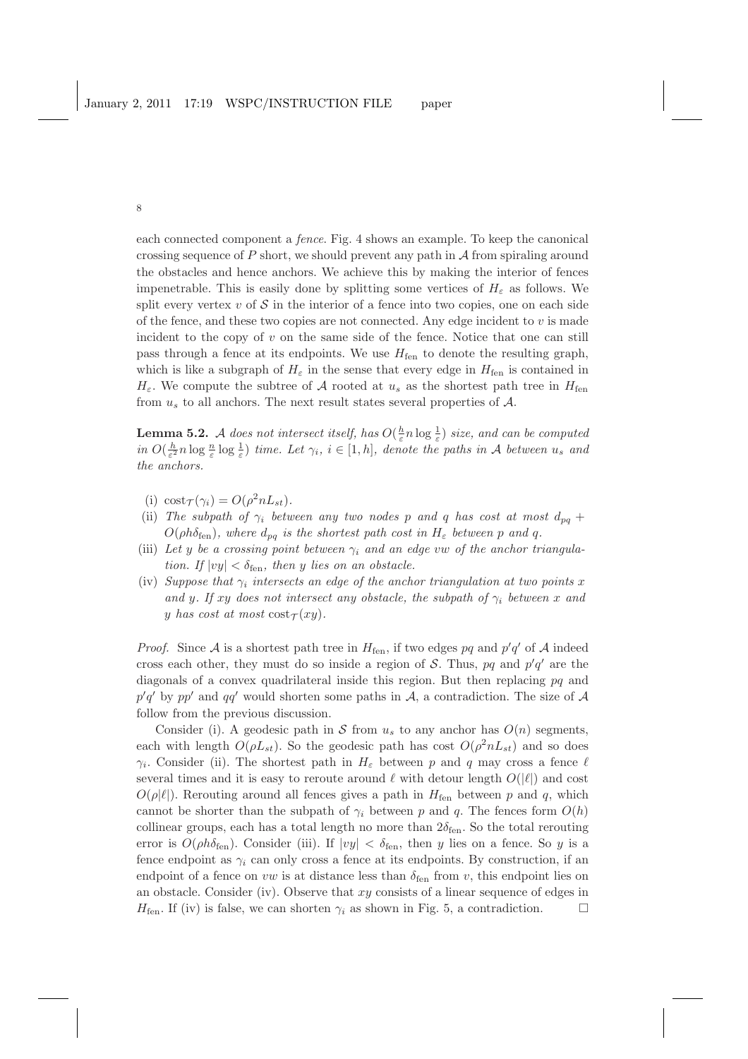each connected component a *fence*. Fig. 4 shows an example. To keep the canonical crossing sequence of  $P$  short, we should prevent any path in  $\mathcal A$  from spiraling around the obstacles and hence anchors. We achieve this by making the interior of fences impenetrable. This is easily done by splitting some vertices of  $H_{\varepsilon}$  as follows. We split every vertex  $v$  of  $S$  in the interior of a fence into two copies, one on each side of the fence, and these two copies are not connected. Any edge incident to v is made incident to the copy of  $v$  on the same side of the fence. Notice that one can still pass through a fence at its endpoints. We use  $H_{\text{fen}}$  to denote the resulting graph, which is like a subgraph of  $H_{\varepsilon}$  in the sense that every edge in  $H_{\text{fen}}$  is contained in  $H_{\varepsilon}$ . We compute the subtree of A rooted at  $u_s$  as the shortest path tree in  $H_{\text{fen}}$ from  $u_s$  to all anchors. The next result states several properties of  $\mathcal{A}$ .

**Lemma 5.2.** A does not intersect itself, has  $O(\frac{h}{\varepsilon} n \log \frac{1}{\varepsilon})$  size, and can be computed  $\int \lim_{\epsilon \to 0} O(\frac{h}{\epsilon^2} n \log \frac{n}{\epsilon}) \log \frac{1}{\epsilon})$  *time. Let*  $\gamma_i$ ,  $i \in [1, h]$ , *denote the paths in* A *between*  $u_s$  *and the anchors.*

- (i)  $\cot \tau(\gamma_i) = O(\rho^2 n L_{st}).$
- (ii) *The subpath of*  $\gamma_i$  *between any two nodes* p and q *has cost at most*  $d_{pq}$  +  $O(\rho h \delta_{\text{fen}})$ *, where*  $d_{pq}$  *is the shortest path cost in*  $H_{\varepsilon}$  *between* p *and* q.
- (iii) Let y be a crossing point between  $\gamma_i$  and an edge vw of the anchor triangula*tion. If*  $|vy| < \delta_{\text{fen}}$ *, then y lies on an obstacle.*
- (iv) *Suppose that*  $\gamma_i$  *intersects an edge of the anchor triangulation at two points* x *and* y. If xy does not intersect any obstacle, the subpath of  $\gamma_i$  between x and y has cost at most  $\cos(\tau(xy))$ .

*Proof.* Since A is a shortest path tree in  $H_{\text{fen}}$ , if two edges  $pq$  and  $p'q'$  of A indeed cross each other, they must do so inside a region of  $S$ . Thus,  $pq$  and  $p'q'$  are the diagonals of a convex quadrilateral inside this region. But then replacing  $pq$  and  $p'q'$  by  $pp'$  and  $qq'$  would shorten some paths in  $A$ , a contradiction. The size of  $A$ follow from the previous discussion.

Consider (i). A geodesic path in S from  $u_s$  to any anchor has  $O(n)$  segments, each with length  $O(\rho L_{st})$ . So the geodesic path has cost  $O(\rho^2 n L_{st})$  and so does  $\gamma_i$ . Consider (ii). The shortest path in  $H_{\varepsilon}$  between p and q may cross a fence  $\ell$ several times and it is easy to reroute around  $\ell$  with detour length  $O(|\ell|)$  and cost  $O(\rho|\ell|)$ . Rerouting around all fences gives a path in  $H_{\text{fen}}$  between p and q, which cannot be shorter than the subpath of  $\gamma_i$  between p and q. The fences form  $O(h)$ collinear groups, each has a total length no more than  $2\delta_{\text{fen}}$ . So the total rerouting error is  $O(\rho h \delta_{\text{fen}})$ . Consider (iii). If  $|vy| < \delta_{\text{fen}}$ , then y lies on a fence. So y is a fence endpoint as  $\gamma_i$  can only cross a fence at its endpoints. By construction, if an endpoint of a fence on vw is at distance less than  $\delta_{\text{fen}}$  from v, this endpoint lies on an obstacle. Consider (iv). Observe that  $xy$  consists of a linear sequence of edges in  $H_{\text{fen}}$ . If (iv) is false, we can shorten  $\gamma_i$  as shown in Fig. 5, a contradiction.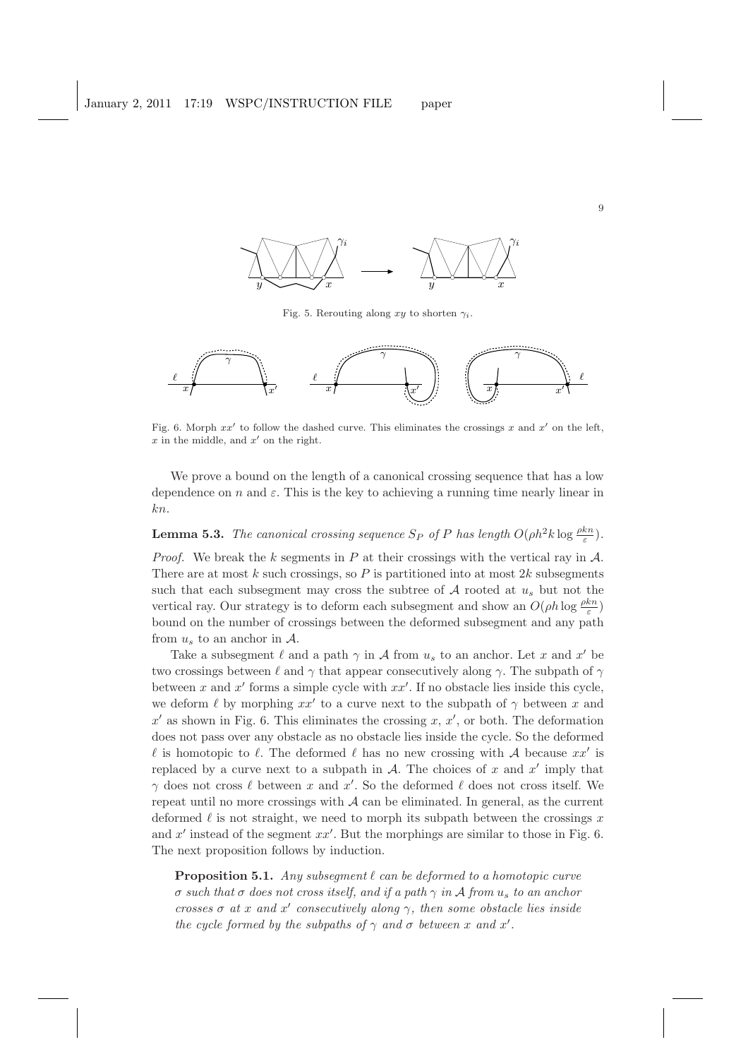

Fig. 5. Rerouting along  $xy$  to shorten  $\gamma_i$ .



Fig. 6. Morph  $xx'$  to follow the dashed curve. This eliminates the crossings x and  $x'$  on the left,  $x$  in the middle, and  $x'$  on the right.

We prove a bound on the length of a canonical crossing sequence that has a low dependence on n and  $\varepsilon$ . This is the key to achieving a running time nearly linear in kn.

**Lemma 5.3.** *The canonical crossing sequence*  $S_P$  *of*  $P$  *has length*  $O(\rho h^2 k \log \frac{\rho k n}{\varepsilon})$ *.* 

*Proof.* We break the k segments in  $P$  at their crossings with the vertical ray in  $A$ . There are at most  $k$  such crossings, so  $P$  is partitioned into at most  $2k$  subsegments such that each subsegment may cross the subtree of  $A$  rooted at  $u_s$  but not the vertical ray. Our strategy is to deform each subsegment and show an  $O(\rho h \log \frac{\rho k n}{\varepsilon})$ bound on the number of crossings between the deformed subsegment and any path from  $u<sub>s</sub>$  to an anchor in A.

Take a subsegment  $\ell$  and a path  $\gamma$  in  $\mathcal A$  from  $u_s$  to an anchor. Let x and  $x'$  be two crossings between  $\ell$  and  $\gamma$  that appear consecutively along  $\gamma$ . The subpath of  $\gamma$ between x and  $x'$  forms a simple cycle with  $xx'$ . If no obstacle lies inside this cycle, we deform  $\ell$  by morphing  $xx'$  to a curve next to the subpath of  $\gamma$  between x and  $x'$  as shown in Fig. 6. This eliminates the crossing x, x', or both. The deformation does not pass over any obstacle as no obstacle lies inside the cycle. So the deformed  $\ell$  is homotopic to  $\ell$ . The deformed  $\ell$  has no new crossing with  $\mathcal A$  because  $xx'$  is replaced by a curve next to a subpath in  $A$ . The choices of x and x' imply that  $\gamma$  does not cross  $\ell$  between x and x'. So the deformed  $\ell$  does not cross itself. We repeat until no more crossings with  $A$  can be eliminated. In general, as the current deformed  $\ell$  is not straight, we need to morph its subpath between the crossings x and  $x'$  instead of the segment  $xx'$ . But the morphings are similar to those in Fig. 6. The next proposition follows by induction.

Proposition 5.1. *Any subsegment* ℓ *can be deformed to a homotopic curve* σ *such that* σ *does not cross itself, and if a path* γ *in* A *from* u<sup>s</sup> *to an anchor crosses*  $\sigma$  *at* x and x' consecutively along  $\gamma$ , then some obstacle lies inside *the cycle formed by the subpaths of*  $\gamma$  *and*  $\sigma$  *between* x *and* x'.

 $\overline{Q}$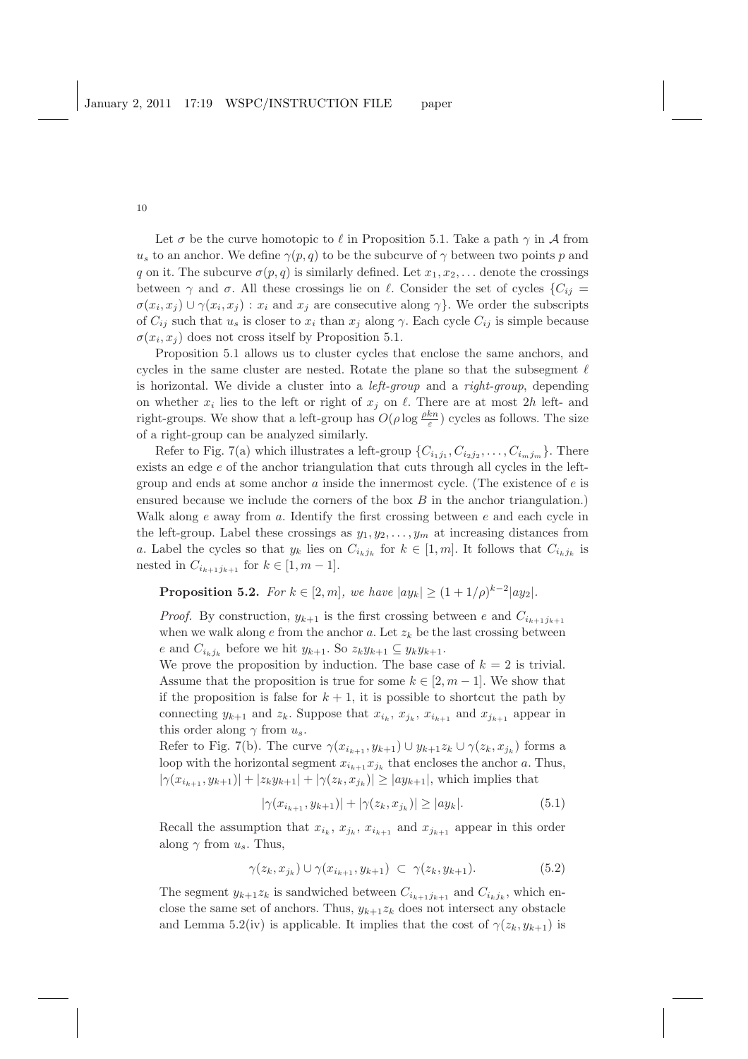Let  $\sigma$  be the curve homotopic to  $\ell$  in Proposition 5.1. Take a path  $\gamma$  in A from  $u_s$  to an anchor. We define  $\gamma(p,q)$  to be the subcurve of  $\gamma$  between two points p and q on it. The subcurve  $\sigma(p,q)$  is similarly defined. Let  $x_1, x_2, \ldots$  denote the crossings between  $\gamma$  and  $\sigma$ . All these crossings lie on  $\ell$ . Consider the set of cycles  $\{C_{ij} =$  $\sigma(x_i, x_j) \cup \gamma(x_i, x_j) : x_i$  and  $x_j$  are consecutive along  $\gamma$ . We order the subscripts of  $C_{ij}$  such that  $u_s$  is closer to  $x_i$  than  $x_j$  along  $\gamma$ . Each cycle  $C_{ij}$  is simple because  $\sigma(x_i, x_j)$  does not cross itself by Proposition 5.1.

Proposition 5.1 allows us to cluster cycles that enclose the same anchors, and cycles in the same cluster are nested. Rotate the plane so that the subsegment  $\ell$ is horizontal. We divide a cluster into a *left-group* and a *right-group*, depending on whether  $x_i$  lies to the left or right of  $x_j$  on  $\ell$ . There are at most 2h left- and right-groups. We show that a left-group has  $O(\rho \log \frac{\rho kn}{\varepsilon})$  cycles as follows. The size of a right-group can be analyzed similarly.

Refer to Fig. 7(a) which illustrates a left-group  $\{C_{i_1j_1}, C_{i_2j_2}, \ldots, C_{i_mj_m}\}$ . There exists an edge e of the anchor triangulation that cuts through all cycles in the leftgroup and ends at some anchor  $\alpha$  inside the innermost cycle. (The existence of  $e$  is ensured because we include the corners of the box  $B$  in the anchor triangulation.) Walk along  $e$  away from  $a$ . Identify the first crossing between  $e$  and each cycle in the left-group. Label these crossings as  $y_1, y_2, \ldots, y_m$  at increasing distances from a. Label the cycles so that  $y_k$  lies on  $C_{i_kj_k}$  for  $k \in [1, m]$ . It follows that  $C_{i_kj_k}$  is nested in  $C_{i_{k+1},j_{k+1}}$  for  $k \in [1, m-1]$ .

**Proposition 5.2.** *For*  $k \in [2, m]$ *, we have*  $|ay_k| \ge (1 + 1/\rho)^{k-2}|ay_2|$ *.* 

*Proof.* By construction,  $y_{k+1}$  is the first crossing between e and  $C_{i_{k+1},i_{k+1}}$ when we walk along  $e$  from the anchor  $a$ . Let  $z_k$  be the last crossing between e and  $C_{i_kj_k}$  before we hit  $y_{k+1}$ . So  $z_ky_{k+1} \subseteq y_ky_{k+1}$ .

We prove the proposition by induction. The base case of  $k = 2$  is trivial. Assume that the proposition is true for some  $k \in [2, m-1]$ . We show that if the proposition is false for  $k + 1$ , it is possible to shortcut the path by connecting  $y_{k+1}$  and  $z_k$ . Suppose that  $x_{i_k}, x_{j_k}, x_{i_{k+1}}$  and  $x_{j_{k+1}}$  appear in this order along  $\gamma$  from  $u_s$ .

Refer to Fig. 7(b). The curve  $\gamma(x_{i_{k+1}}, y_{k+1}) \cup y_{k+1} z_k \cup \gamma(z_k, x_{j_k})$  forms a loop with the horizontal segment  $x_{i_{k+1}}x_{j_k}$  that encloses the anchor a. Thus,  $|\gamma(x_{i_{k+1}}, y_{k+1})| + |z_k y_{k+1}| + |\gamma(z_k, x_{j_k})| \ge |ay_{k+1}|$ , which implies that

$$
|\gamma(x_{i_{k+1}}, y_{k+1})| + |\gamma(z_k, x_{j_k})| \ge |ay_k|.
$$
\n(5.1)

Recall the assumption that  $x_{i_k}$ ,  $x_{j_k}$ ,  $x_{i_{k+1}}$  and  $x_{j_{k+1}}$  appear in this order along  $\gamma$  from  $u_s$ . Thus,

$$
\gamma(z_k, x_{j_k}) \cup \gamma(x_{i_{k+1}}, y_{k+1}) \subset \gamma(z_k, y_{k+1}). \tag{5.2}
$$

The segment  $y_{k+1}z_k$  is sandwiched between  $C_{i_{k+1}j_{k+1}}$  and  $C_{i_kj_k}$ , which enclose the same set of anchors. Thus,  $y_{k+1}z_k$  does not intersect any obstacle and Lemma 5.2(iv) is applicable. It implies that the cost of  $\gamma(z_k, y_{k+1})$  is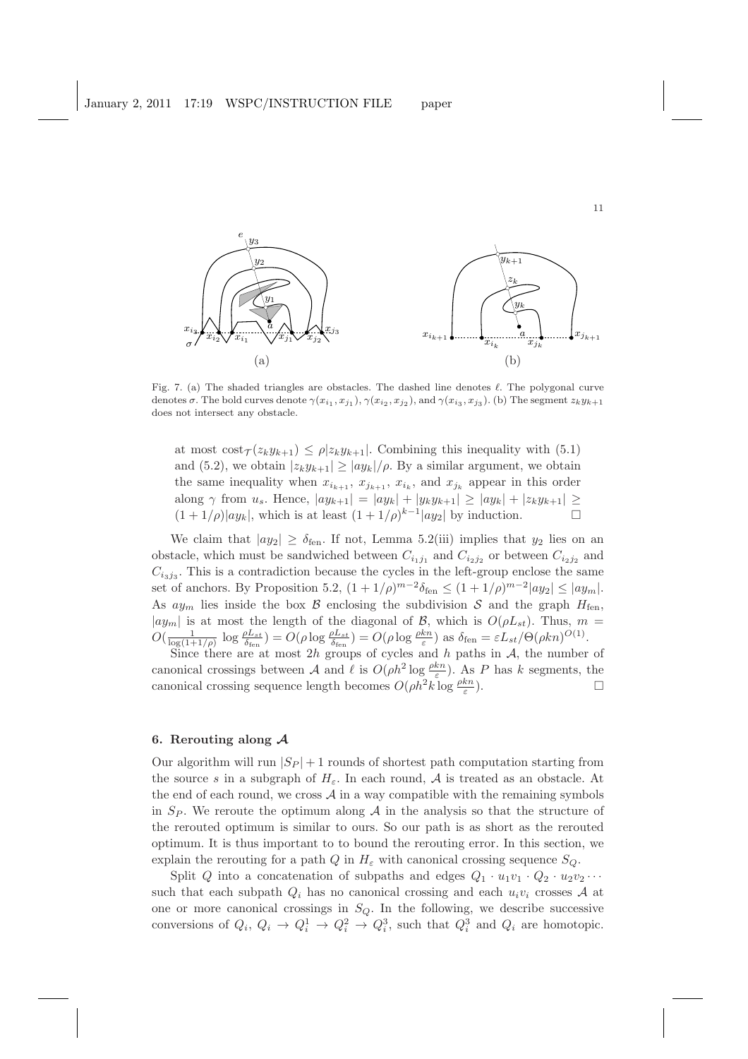

Fig. 7. (a) The shaded triangles are obstacles. The dashed line denotes ℓ. The polygonal curve denotes  $\sigma$ . The bold curves denote  $\gamma(x_{i_1}, x_{j_1}), \gamma(x_{i_2}, x_{j_2}),$  and  $\gamma(x_{i_3}, x_{j_3}).$  (b) The segment  $z_k y_{k+1}$ does not intersect any obstacle.

at most  $\text{cost}_{\mathcal{T}}(z_ky_{k+1}) \leq \rho |z_ky_{k+1}|$ . Combining this inequality with (5.1) and (5.2), we obtain  $|z_k y_{k+1}| \ge |a y_k|/\rho$ . By a similar argument, we obtain the same inequality when  $x_{i_{k+1}}, x_{j_{k+1}}, x_{i_k}$ , and  $x_{j_k}$  appear in this order along  $\gamma$  from  $u_s$ . Hence,  $|ay_{k+1}| = |ay_k| + |y_ky_{k+1}| \ge |ay_k| + |z_ky_{k+1}| \ge$ <br>(1+1/*o*)|*ay*<sub>1</sub>| which is at least  $(1+1/a)^{k-1}|ay_0|$  by induction  $(1+1/\rho)|ay_k|$ , which is at least  $(1+1/\rho)^{k-1}|ay_2|$  by induction.

We claim that  $|ay_2| \ge \delta_{\text{fen}}$ . If not, Lemma 5.2(iii) implies that  $y_2$  lies on an obstacle, which must be sandwiched between  $C_{i_1j_1}$  and  $C_{i_2j_2}$  or between  $C_{i_2j_2}$  and  $C_{i_3j_3}$ . This is a contradiction because the cycles in the left-group enclose the same set of anchors. By Proposition 5.2,  $(1+1/\rho)^{m-2}\delta_{\text{fen}} \leq (1+1/\rho)^{m-2}|ay_2| \leq |ay_m|$ . As  $ay_m$  lies inside the box  $\beta$  enclosing the subdivision  $\beta$  and the graph  $H_{\text{fen}}$ ,  $|ay_m|$  is at most the length of the diagonal of  $\mathcal{B}$ , which is  $O(\rho L_{st})$ . Thus,  $m =$  $O(\frac{1}{\log(1+1/\rho)}\log \frac{\rho L_{st}}{\delta_{\text{fen}}}) = O(\rho \log \frac{\rho L_{st}}{\delta_{\text{fen}}}) = O(\rho \log \frac{\rho k n}{\varepsilon})$  as  $\delta_{\text{fen}} = \varepsilon L_{st}/\Theta(\rho k n)^{O(1)}$ .

Since there are at most 2h groups of cycles and h paths in  $A$ , the number of canonical crossings between A and  $\ell$  is  $O(\rho h^2 \log \frac{\rho k n}{\varepsilon})$ . As P has k segments, the canonical crossing sequence length becomes  $O(\rho h^2 k \log \frac{\rho k n}{\varepsilon})$  $\Box$ 

### 6. Rerouting along  $\mathcal A$

Our algorithm will run  $|S_P| + 1$  rounds of shortest path computation starting from the source s in a subgraph of  $H_{\varepsilon}$ . In each round, A is treated as an obstacle. At the end of each round, we cross  $A$  in a way compatible with the remaining symbols in  $S_P$ . We reroute the optimum along A in the analysis so that the structure of the rerouted optimum is similar to ours. So our path is as short as the rerouted optimum. It is thus important to to bound the rerouting error. In this section, we explain the rerouting for a path Q in  $H_{\varepsilon}$  with canonical crossing sequence  $S_Q$ .

Split Q into a concatenation of subpaths and edges  $Q_1 \cdot u_1v_1 \cdot Q_2 \cdot u_2v_2 \cdots$ such that each subpath  $Q_i$  has no canonical crossing and each  $u_i v_i$  crosses A at one or more canonical crossings in  $S_Q$ . In the following, we describe successive conversions of  $Q_i$ ,  $Q_i \rightarrow Q_i^1 \rightarrow Q_i^2 \rightarrow Q_i^3$ , such that  $Q_i^3$  and  $Q_i$  are homotopic.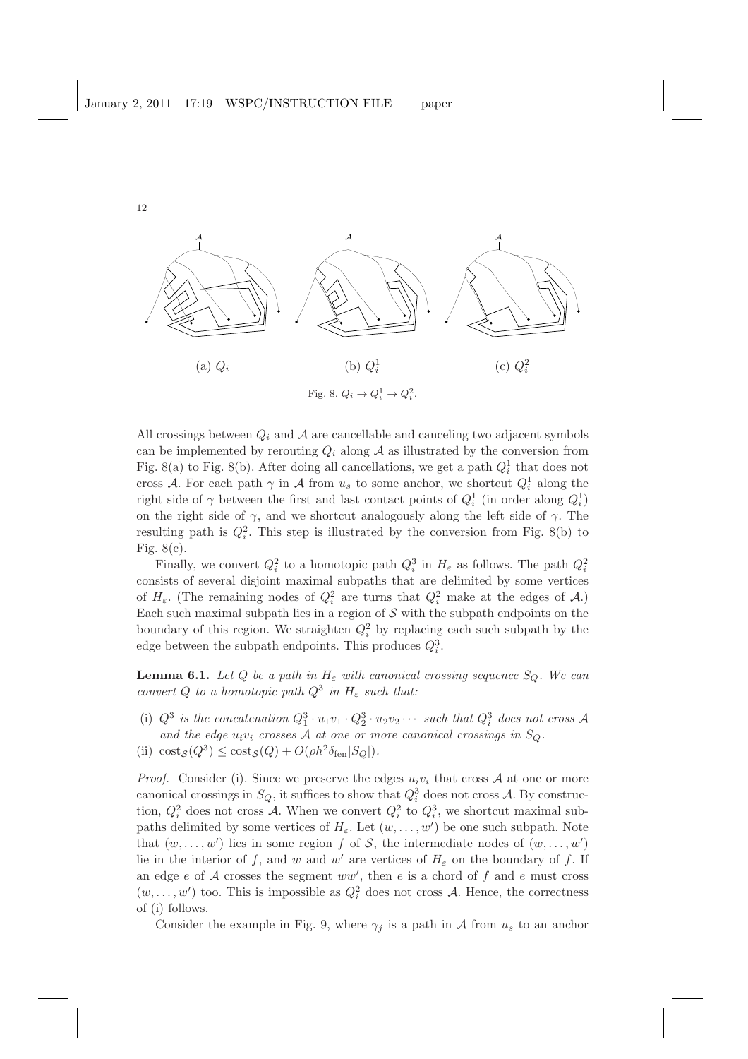

All crossings between  $Q_i$  and A are cancellable and canceling two adjacent symbols can be implemented by rerouting  $Q_i$  along  $A$  as illustrated by the conversion from Fig. 8(a) to Fig. 8(b). After doing all cancellations, we get a path  $Q_i^1$  that does not cross A. For each path  $\gamma$  in A from  $u_s$  to some anchor, we shortcut  $Q_i^1$  along the right side of  $\gamma$  between the first and last contact points of  $Q_i^1$  (in order along  $Q_i^1$ ) on the right side of  $\gamma$ , and we shortcut analogously along the left side of  $\gamma$ . The resulting path is  $Q_i^2$ . This step is illustrated by the conversion from Fig. 8(b) to Fig. 8(c).

Finally, we convert  $Q_i^2$  to a homotopic path  $Q_i^3$  in  $H_{\varepsilon}$  as follows. The path  $Q_i^2$ consists of several disjoint maximal subpaths that are delimited by some vertices of  $H_{\varepsilon}$ . (The remaining nodes of  $Q_i^2$  are turns that  $Q_i^2$  make at the edges of A.) Each such maximal subpath lies in a region of  $S$  with the subpath endpoints on the boundary of this region. We straighten  $Q_i^2$  by replacing each such subpath by the edge between the subpath endpoints. This produces  $Q_i^3$ .

**Lemma 6.1.** *Let* Q *be a path in*  $H_{\varepsilon}$  *with canonical crossing sequence*  $S_Q$ *. We can convert* Q *to a homotopic path*  $Q^3$  *in*  $H_\varepsilon$  *such that:* 

- (i)  $Q^3$  is the concatenation  $Q_1^3 \cdot u_1v_1 \cdot Q_2^3 \cdot u_2v_2 \cdots$  such that  $Q_i^3$  does not cross A and the edge  $u_i v_i$  crosses A at one or more canonical crossings in  $S_Q$ .
- (ii)  $\text{cost}_{\mathcal{S}}(Q^3) \leq \text{cost}_{\mathcal{S}}(Q) + O(\rho h^2 \delta_{\text{fen}} |S_Q|).$

*Proof.* Consider (i). Since we preserve the edges  $u_i v_i$  that cross A at one or more canonical crossings in  $S_Q$ , it suffices to show that  $Q_i^3$  does not cross A. By construction,  $Q_i^2$  does not cross A. When we convert  $Q_i^2$  to  $Q_i^3$ , we shortcut maximal subpaths delimited by some vertices of  $H_{\varepsilon}$ . Let  $(w, \ldots, w')$  be one such subpath. Note that  $(w, \ldots, w')$  lies in some region f of S, the intermediate nodes of  $(w, \ldots, w')$ lie in the interior of f, and w and w' are vertices of  $H<sub>\varepsilon</sub>$  on the boundary of f. If an edge  $e$  of  $A$  crosses the segment  $ww'$ , then  $e$  is a chord of  $f$  and  $e$  must cross  $(w, \ldots, w')$  too. This is impossible as  $Q_i^2$  does not cross A. Hence, the correctness of (i) follows.

Consider the example in Fig. 9, where  $\gamma_i$  is a path in A from  $u_s$  to an anchor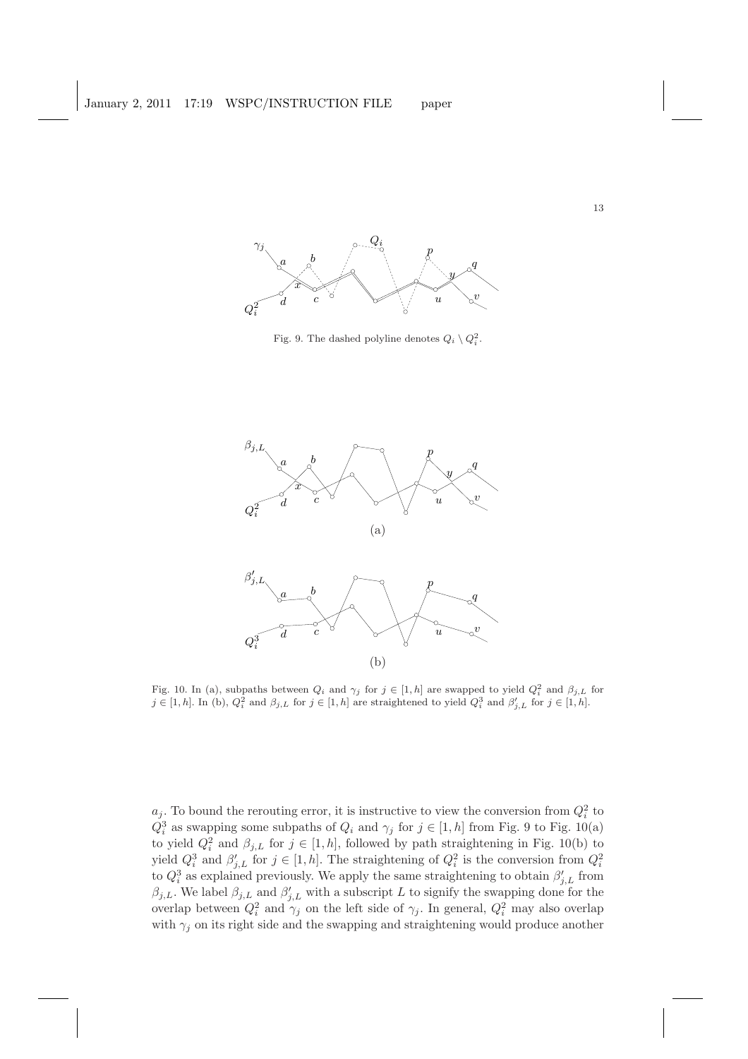

Fig. 9. The dashed polyline denotes  $Q_i \setminus Q_i^2$ .



Fig. 10. In (a), subpaths between  $Q_i$  and  $\gamma_j$  for  $j \in [1, h]$  are swapped to yield  $Q_i^2$  and  $\beta_{j,L}$  for  $j \in [1, h]$ . In (b),  $Q_i^2$  and  $\beta_{j,L}$  for  $j \in [1, h]$  are straightened to yield  $Q_i^3$  and  $\beta'_{j,L}$  for  $j \in [1, h]$ .

 $a_j$ . To bound the rerouting error, it is instructive to view the conversion from  $Q_i^2$  to  $Q_i^3$  as swapping some subpaths of  $Q_i$  and  $\gamma_j$  for  $j \in [1, h]$  from Fig. 9 to Fig. 10(a) to yield  $Q_i^2$  and  $\beta_{j,L}$  for  $j \in [1, h]$ , followed by path straightening in Fig. 10(b) to yield  $Q_i^3$  and  $\beta'_{j,L}$  for  $j \in [1, h]$ . The straightening of  $Q_i^2$  is the conversion from  $Q_i^2$  to  $Q_i^3$  as explained previously. We apply the same straightening to obtain  $\beta'_{j,L}$  from  $\beta_{j,L}$ . We label  $\beta_{j,L}$  and  $\beta'_{j,L}$  with a subscript L to signify the swapping done for the overlap between  $Q_i^2$  and  $\gamma_j$  on the left side of  $\gamma_j$ . In general,  $Q_i^2$  may also overlap with  $\gamma_j$  on its right side and the swapping and straightening would produce another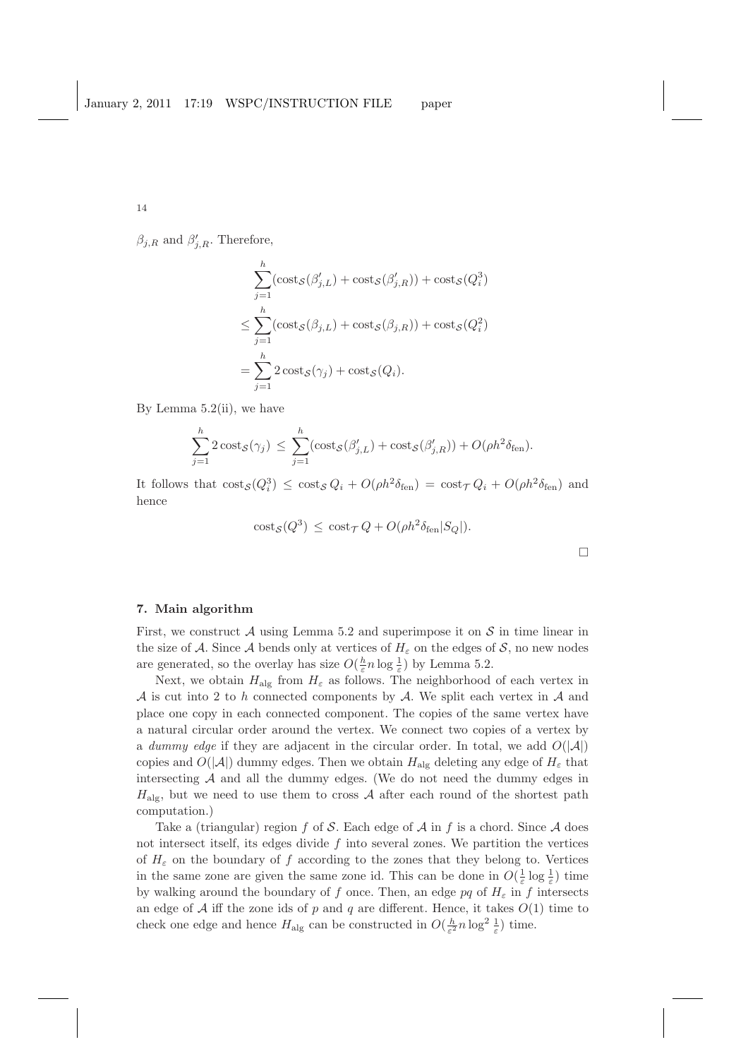$\beta_{j,R}$  and  $\beta'_{j,R}$ . Therefore,

$$
\sum_{j=1}^{h} (\text{cost}_{\mathcal{S}}(\beta'_{j,L}) + \text{cost}_{\mathcal{S}}(\beta'_{j,R})) + \text{cost}_{\mathcal{S}}(Q_i^3)
$$
  

$$
\leq \sum_{j=1}^{h} (\text{cost}_{\mathcal{S}}(\beta_{j,L}) + \text{cost}_{\mathcal{S}}(\beta_{j,R})) + \text{cost}_{\mathcal{S}}(Q_i^2)
$$
  

$$
= \sum_{j=1}^{h} 2 \text{cost}_{\mathcal{S}}(\gamma_j) + \text{cost}_{\mathcal{S}}(Q_i).
$$

By Lemma  $5.2$ (ii), we have

$$
\sum_{j=1}^{h} 2 \operatorname{cost}_{\mathcal{S}}(\gamma_j) \leq \sum_{j=1}^{h} (\operatorname{cost}_{\mathcal{S}}(\beta'_{j,L}) + \operatorname{cost}_{\mathcal{S}}(\beta'_{j,R})) + O(\rho h^2 \delta_{\text{fen}}).
$$

It follows that  $\text{cost}_{\mathcal{S}}(Q_i^3) \leq \text{cost}_{\mathcal{S}} Q_i + O(\rho h^2 \delta_{\text{fen}}) = \text{cost}_{\mathcal{T}} Q_i + O(\rho h^2 \delta_{\text{fen}})$  and hence

$$
cost_{\mathcal{S}}(Q^3) \le cost_{\mathcal{T}} Q + O(\rho h^2 \delta_{\text{fen}} |S_Q|).
$$

#### 7. Main algorithm

First, we construct A using Lemma 5.2 and superimpose it on  $S$  in time linear in the size of A. Since A bends only at vertices of  $H_{\varepsilon}$  on the edges of S, no new nodes are generated, so the overlay has size  $O(\frac{h}{\varepsilon}n \log \frac{1}{\varepsilon})$  by Lemma 5.2.

Next, we obtain  $H_{\text{alg}}$  from  $H_{\varepsilon}$  as follows. The neighborhood of each vertex in A is cut into 2 to h connected components by A. We split each vertex in A and place one copy in each connected component. The copies of the same vertex have a natural circular order around the vertex. We connect two copies of a vertex by a *dummy edge* if they are adjacent in the circular order. In total, we add  $O(|A|)$ copies and  $O(|A|)$  dummy edges. Then we obtain  $H_{\text{alg}}$  deleting any edge of  $H_{\varepsilon}$  that intersecting  $A$  and all the dummy edges. (We do not need the dummy edges in  $H_{\text{alg}}$ , but we need to use them to cross A after each round of the shortest path computation.)

Take a (triangular) region f of S. Each edge of  $A$  in f is a chord. Since  $A$  does not intersect itself, its edges divide  $f$  into several zones. We partition the vertices of  $H_{\varepsilon}$  on the boundary of f according to the zones that they belong to. Vertices in the same zone are given the same zone id. This can be done in  $O(\frac{1}{\varepsilon} \log \frac{1}{\varepsilon})$  time by walking around the boundary of f once. Then, an edge pq of  $H<sub>\varepsilon</sub>$  in f intersects an edge of  $A$  iff the zone ids of  $p$  and  $q$  are different. Hence, it takes  $O(1)$  time to check one edge and hence  $H_{\text{alg}}$  can be constructed in  $O(\frac{h}{\varepsilon^2} n \log^2 \frac{1}{\varepsilon})$  time.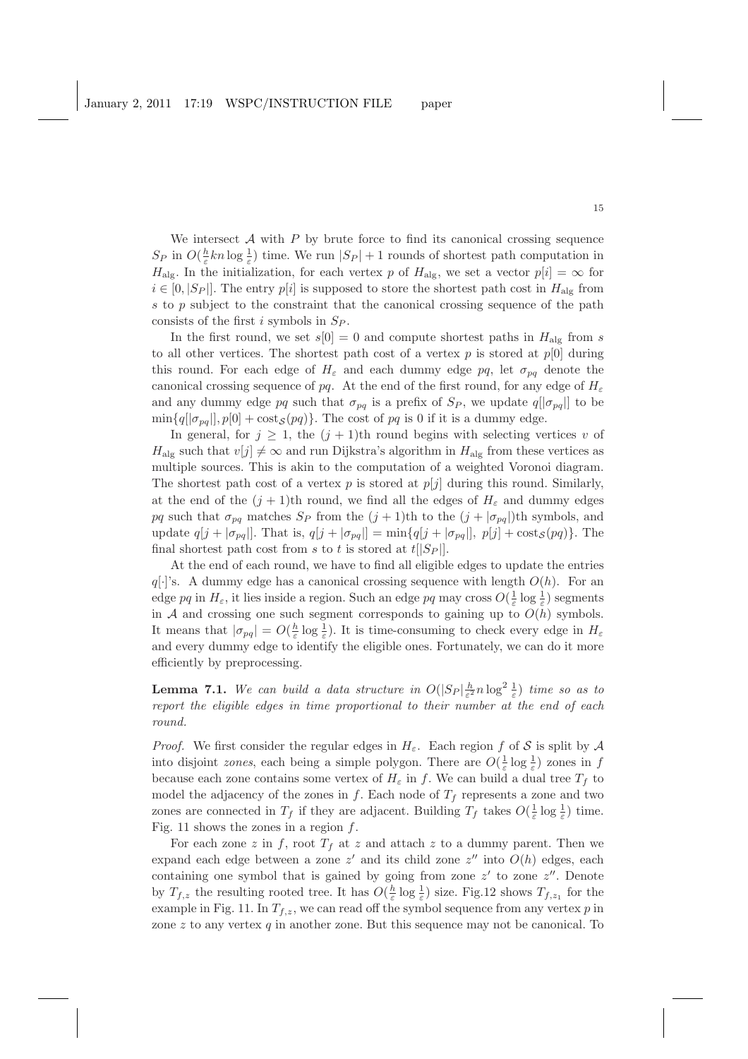We intersect  $A$  with  $P$  by brute force to find its canonical crossing sequence  $S_P$  in  $O(\frac{h}{\varepsilon}kn\log\frac{1}{\varepsilon})$  time. We run  $|S_P|+1$  rounds of shortest path computation in  $H_{\text{alg}}$ . In the initialization, for each vertex p of  $H_{\text{alg}}$ , we set a vector  $p[i] = \infty$  for  $i \in [0, |S_P|]$ . The entry  $p[i]$  is supposed to store the shortest path cost in  $H_{\text{alg}}$  from s to  $p$  subject to the constraint that the canonical crossing sequence of the path consists of the first i symbols in  $S_P$ .

In the first round, we set  $s[0] = 0$  and compute shortest paths in  $H_{\text{alg}}$  from s to all other vertices. The shortest path cost of a vertex  $p$  is stored at  $p[0]$  during this round. For each edge of  $H_{\varepsilon}$  and each dummy edge pq, let  $\sigma_{pq}$  denote the canonical crossing sequence of pq. At the end of the first round, for any edge of  $H_{\varepsilon}$ and any dummy edge pq such that  $\sigma_{pq}$  is a prefix of  $S_P$ , we update  $q[|\sigma_{pq}|]$  to be  $\min\{q||\sigma_{pq}||, p[0] + \text{cost}_{\mathcal{S}}(pq)\}\.$  The cost of pq is 0 if it is a dummy edge.

In general, for  $j \geq 1$ , the  $(j + 1)$ th round begins with selecting vertices v of  $H_{\text{alg}}$  such that  $v[j] \neq \infty$  and run Dijkstra's algorithm in  $H_{\text{alg}}$  from these vertices as multiple sources. This is akin to the computation of a weighted Voronoi diagram. The shortest path cost of a vertex p is stored at  $p[j]$  during this round. Similarly, at the end of the  $(j + 1)$ th round, we find all the edges of  $H_{\varepsilon}$  and dummy edges pq such that  $\sigma_{pq}$  matches  $S_P$  from the  $(j + 1)$ th to the  $(j + |\sigma_{pq}|)$ th symbols, and update  $q[j + |\sigma_{pq}|\]$ . That is,  $q[j + |\sigma_{pq}|\] = \min\{q[j + |\sigma_{pq}|\]$ ,  $p[j] + \text{cost}_{\mathcal{S}}(pq)\}$ . The final shortest path cost from s to t is stored at  $t[|S_P|]$ .

At the end of each round, we have to find all eligible edges to update the entries  $q[\cdot]$ 's. A dummy edge has a canonical crossing sequence with length  $O(h)$ . For an edge  $pq$  in  $H_{\varepsilon}$ , it lies inside a region. Such an edge  $pq$  may cross  $O(\frac{1}{\varepsilon} \log \frac{1}{\varepsilon})$  segments in A and crossing one such segment corresponds to gaining up to  $O(h)$  symbols. It means that  $|\sigma_{pq}| = O(\frac{h}{\varepsilon} \log \frac{1}{\varepsilon})$ . It is time-consuming to check every edge in  $H_{\varepsilon}$ and every dummy edge to identify the eligible ones. Fortunately, we can do it more efficiently by preprocessing.

**Lemma 7.1.** We can build a data structure in  $O(|S_P|\frac{h}{\varepsilon^2}n\log^2\frac{1}{\varepsilon})$  time so as to *report the eligible edges in time proportional to their number at the end of each round.*

*Proof.* We first consider the regular edges in  $H_{\varepsilon}$ . Each region f of S is split by A into disjoint *zones*, each being a simple polygon. There are  $O(\frac{1}{\varepsilon} \log \frac{1}{\varepsilon})$  zones in f because each zone contains some vertex of  $H_{\varepsilon}$  in f. We can build a dual tree  $T_f$  to model the adjacency of the zones in  $f$ . Each node of  $T_f$  represents a zone and two zones are connected in  $T_f$  if they are adjacent. Building  $T_f$  takes  $O(\frac{1}{\varepsilon} \log \frac{1}{\varepsilon})$  time. Fig. 11 shows the zones in a region  $f$ .

For each zone z in f, root  $T_f$  at z and attach z to a dummy parent. Then we expand each edge between a zone  $z'$  and its child zone  $z''$  into  $O(h)$  edges, each containing one symbol that is gained by going from zone  $z'$  to zone  $z''$ . Denote by  $T_{f,z}$  the resulting rooted tree. It has  $O(\frac{h}{\varepsilon} \log \frac{1}{\varepsilon})$  size. Fig.12 shows  $T_{f,z_1}$  for the example in Fig. 11. In  $T_{f,z}$ , we can read off the symbol sequence from any vertex p in zone  $z$  to any vertex  $q$  in another zone. But this sequence may not be canonical. To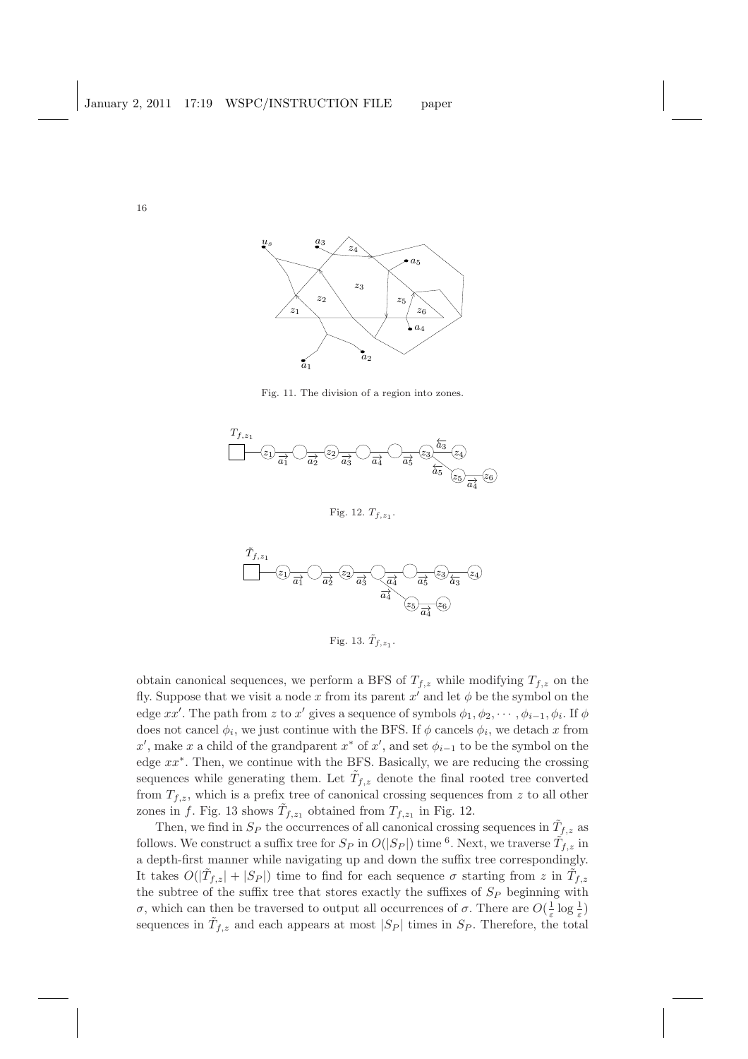

Fig. 11. The division of a region into zones.



Fig. 12.  $T_{f,z_1}$ .



Fig. 13.  $\tilde{T}_{f,z_1}$ .

obtain canonical sequences, we perform a BFS of  $T_{f,z}$  while modifying  $T_{f,z}$  on the fly. Suppose that we visit a node x from its parent  $x'$  and let  $\phi$  be the symbol on the edge  $xx'$ . The path from z to  $x'$  gives a sequence of symbols  $\phi_1, \phi_2, \cdots, \phi_{i-1}, \phi_i$ . If  $\phi$ does not cancel  $\phi_i$ , we just continue with the BFS. If  $\phi$  cancels  $\phi_i$ , we detach x from x', make x a child of the grandparent  $x^*$  of  $x'$ , and set  $\phi_{i-1}$  to be the symbol on the edge xx<sup>∗</sup> . Then, we continue with the BFS. Basically, we are reducing the crossing sequences while generating them. Let  $\tilde{T}_{f,z}$  denote the final rooted tree converted from  $T_{f,z}$ , which is a prefix tree of canonical crossing sequences from z to all other zones in f. Fig. 13 shows  $\tilde{T}_{f,z_1}$  obtained from  $T_{f,z_1}$  in Fig. 12.

Then, we find in  $S_P$  the occurrences of all canonical crossing sequences in  $\tilde{T}_{f,z}$  as follows. We construct a suffix tree for  $S_P$  in  $O(|S_P|)$  time <sup>6</sup>. Next, we traverse  $\tilde{T}_{f,z}$  in a depth-first manner while navigating up and down the suffix tree correspondingly. It takes  $O(|\tilde{T}_{f,z}| + |S_P|)$  time to find for each sequence  $\sigma$  starting from z in  $\tilde{T}_{f,z}$ the subtree of the suffix tree that stores exactly the suffixes of  $S_P$  beginning with σ, which can then be traversed to output all occurrences of σ. There are  $O(\frac{1}{\varepsilon} \log \frac{1}{\varepsilon})$ sequences in  $\tilde{T}_{f,z}$  and each appears at most  $|S_P|$  times in  $S_P$ . Therefore, the total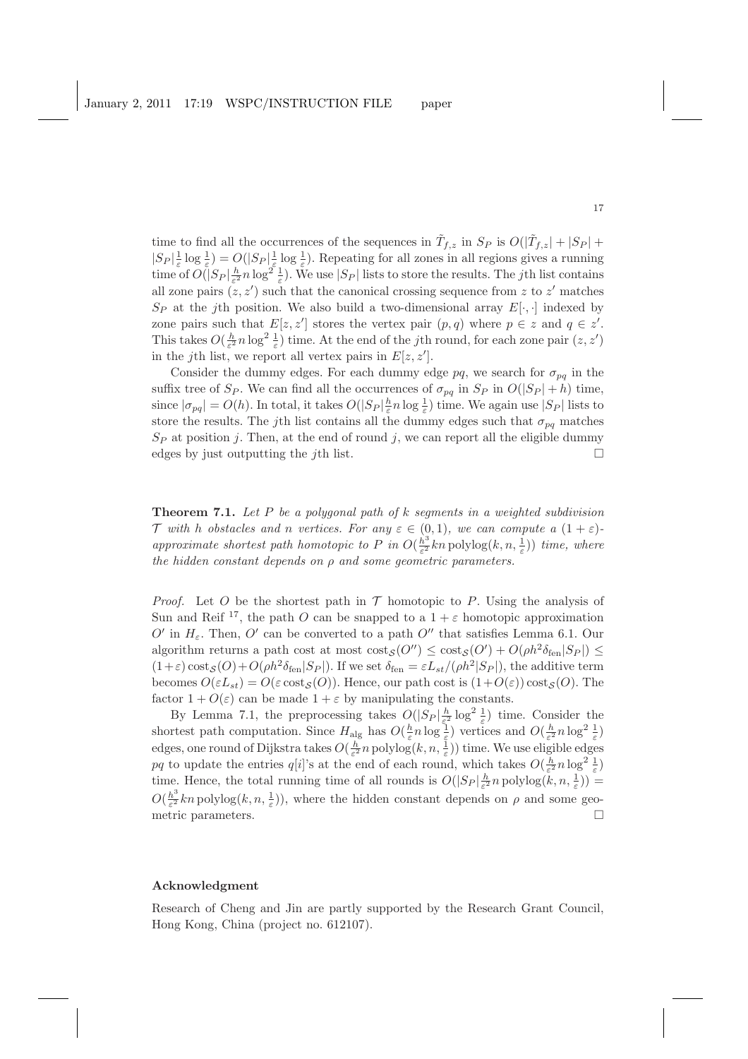time to find all the occurrences of the sequences in  $\tilde{T}_{f,z}$  in  $S_P$  is  $O(|\tilde{T}_{f,z}| + |S_P| +$  $|S_P|_{\varepsilon}^{\frac{1}{2}} \log \frac{1}{\varepsilon} \supseteq O(|S_P|_{\varepsilon}^{\frac{1}{2}} \log \frac{1}{\varepsilon}).$  Repeating for all zones in all regions gives a running time of  $O(|S_P|\frac{h}{\varepsilon^2}n\log^2\frac{1}{\varepsilon})$ . We use  $|S_P|$  lists to store the results. The *j*th list contains all zone pairs  $(z, z')$  such that the canonical crossing sequence from z to z' matches  $S_P$  at the jth position. We also build a two-dimensional array  $E[\cdot, \cdot]$  indexed by zone pairs such that  $E[z, z']$  stores the vertex pair  $(p, q)$  where  $p \in z$  and  $q \in z'$ . This takes  $O(\frac{h}{\varepsilon^2} n \log^2 \frac{1}{\varepsilon})$  time. At the end of the *j*th round, for each zone pair  $(z, z')$ in the *j*th list, we report all vertex pairs in  $E[z, z']$ .

Consider the dummy edges. For each dummy edge pq, we search for  $\sigma_{pq}$  in the suffix tree of  $S_P$ . We can find all the occurrences of  $\sigma_{pq}$  in  $S_P$  in  $O(|S_P| + h)$  time, since  $|\sigma_{pq}| = O(h)$ . In total, it takes  $O(|S_P|\frac{h}{\varepsilon}n \log \frac{1}{\varepsilon})$  time. We again use  $|S_P|$  lists to store the results. The jth list contains all the dummy edges such that  $\sigma_{pq}$  matches  $S_P$  at position j. Then, at the end of round j, we can report all the eligible dummy edges by just outputting the *j*th list.  $\Box$ 

Theorem 7.1. *Let* P *be a polygonal path of* k *segments in a weighted subdivision* T with h *obstacles and* n *vertices. For any*  $\varepsilon \in (0,1)$ *, we can compute a*  $(1+\varepsilon)$ *approximate shortest path homotopic to* P in  $O(\frac{h^3}{\epsilon^2})$  $\frac{h^3}{\varepsilon^2}$ kn polylog $(k, n, \frac{1}{\varepsilon})$ ) time, where *the hidden constant depends on* ρ *and some geometric parameters.*

*Proof.* Let O be the shortest path in  $\mathcal T$  homotopic to P. Using the analysis of Sun and Reif <sup>17</sup>, the path O can be snapped to a  $1 + \varepsilon$  homotopic approximation  $O'$  in  $H_{\varepsilon}$ . Then,  $O'$  can be converted to a path  $O''$  that satisfies Lemma 6.1. Our algorithm returns a path cost at most  $\cos \frac{1}{s}(O'') \leq \cos \frac{1}{s}(O') + O(\rho h^2 \delta_{\text{fen}} |S_P|) \leq$  $(1+\varepsilon)\cos(s) + O(\rho h^2 \delta_{\text{fen}} |S_P|)$ . If we set  $\delta_{\text{fen}} = \varepsilon L_{st}/(\rho h^2 |S_P|)$ , the additive term becomes  $O(\varepsilon L_{st}) = O(\varepsilon \cos t_{\mathcal{S}}(O))$ . Hence, our path cost is  $(1+O(\varepsilon)) \cos t_{\mathcal{S}}(O)$ . The factor  $1 + O(\varepsilon)$  can be made  $1 + \varepsilon$  by manipulating the constants.

By Lemma 7.1, the preprocessing takes  $O(|S_P| \frac{h}{\varepsilon^2} \log^2 \frac{1}{\varepsilon})$  time. Consider the shortest path computation. Since  $H_{\text{alg}}$  has  $O(\frac{h}{\varepsilon} n \log \frac{1}{\varepsilon})$  vertices and  $O(\frac{h}{\varepsilon^2} n \log^2 \frac{1}{\varepsilon})$ edges, one round of Dijkstra takes  $O(\frac{h}{\varepsilon^2} n \text{ polylog}(k,n,\frac{1}{\varepsilon}))$  time. We use eligible edges pq to update the entries  $q[i]$ 's at the end of each round, which takes  $O(\frac{h}{\varepsilon^2} n \log^2 \frac{1}{\varepsilon})$ time. Hence, the total running time of all rounds is  $O(|S_P| \frac{h}{\varepsilon^2} n \text{ polylog}(k, n, \frac{1}{\varepsilon}))$  =  $O(\frac{h^3}{\varepsilon^2})$  $\frac{h^3}{\varepsilon^2}$  kn polylog(k, n,  $\frac{1}{\varepsilon}$ )), where the hidden constant depends on  $\rho$  and some geometric parameters.

## Acknowledgment

Research of Cheng and Jin are partly supported by the Research Grant Council, Hong Kong, China (project no. 612107).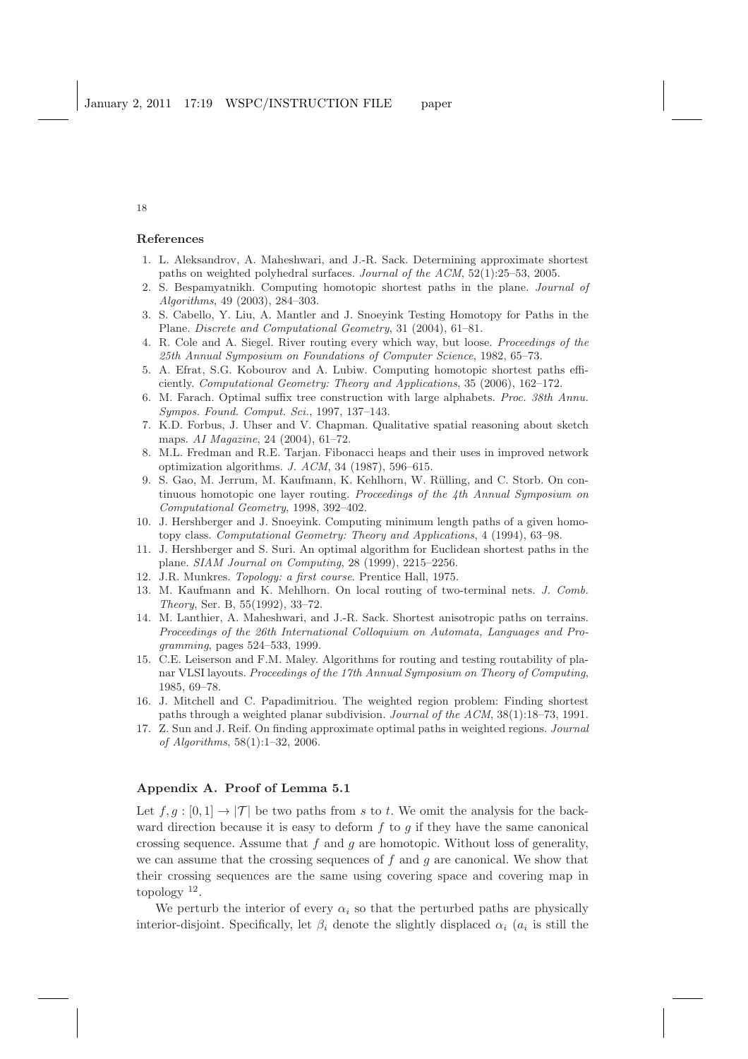### References

- 1. L. Aleksandrov, A. Maheshwari, and J.-R. Sack. Determining approximate shortest paths on weighted polyhedral surfaces. *Journal of the ACM*, 52(1):25–53, 2005.
- 2. S. Bespamyatnikh. Computing homotopic shortest paths in the plane. *Journal of Algorithms*, 49 (2003), 284–303.
- 3. S. Cabello, Y. Liu, A. Mantler and J. Snoeyink Testing Homotopy for Paths in the Plane. *Discrete and Computational Geometry*, 31 (2004), 61–81.
- 4. R. Cole and A. Siegel. River routing every which way, but loose. *Proceedings of the 25th Annual Symposium on Foundations of Computer Science*, 1982, 65–73.
- 5. A. Efrat, S.G. Kobourov and A. Lubiw. Computing homotopic shortest paths efficiently. *Computational Geometry: Theory and Applications*, 35 (2006), 162–172.
- 6. M. Farach. Optimal suffix tree construction with large alphabets. *Proc. 38th Annu. Sympos. Found. Comput. Sci.*, 1997, 137–143.
- 7. K.D. Forbus, J. Uhser and V. Chapman. Qualitative spatial reasoning about sketch maps. *AI Magazine*, 24 (2004), 61–72.
- 8. M.L. Fredman and R.E. Tarjan. Fibonacci heaps and their uses in improved network optimization algorithms. *J. ACM*, 34 (1987), 596–615.
- 9. S. Gao, M. Jerrum, M. Kaufmann, K. Kehlhorn, W. Rülling, and C. Storb. On continuous homotopic one layer routing. *Proceedings of the 4th Annual Symposium on Computational Geometry*, 1998, 392–402.
- 10. J. Hershberger and J. Snoeyink. Computing minimum length paths of a given homotopy class. *Computational Geometry: Theory and Applications*, 4 (1994), 63–98.
- 11. J. Hershberger and S. Suri. An optimal algorithm for Euclidean shortest paths in the plane. *SIAM Journal on Computing*, 28 (1999), 2215–2256.
- 12. J.R. Munkres. *Topology: a first course*. Prentice Hall, 1975.
- 13. M. Kaufmann and K. Mehlhorn. On local routing of two-terminal nets. *J. Comb. Theory*, Ser. B, 55(1992), 33–72.
- 14. M. Lanthier, A. Maheshwari, and J.-R. Sack. Shortest anisotropic paths on terrains. *Proceedings of the 26th International Colloquium on Automata, Languages and Programming*, pages 524–533, 1999.
- 15. C.E. Leiserson and F.M. Maley. Algorithms for routing and testing routability of planar VLSI layouts. *Proceedings of the 17th Annual Symposium on Theory of Computing*, 1985, 69–78.
- 16. J. Mitchell and C. Papadimitriou. The weighted region problem: Finding shortest paths through a weighted planar subdivision. *Journal of the ACM*, 38(1):18–73, 1991.
- 17. Z. Sun and J. Reif. On finding approximate optimal paths in weighted regions. *Journal of Algorithms*, 58(1):1–32, 2006.

### Appendix A. Proof of Lemma 5.1

Let  $f, q : [0, 1] \rightarrow |T|$  be two paths from s to t. We omit the analysis for the backward direction because it is easy to deform  $f$  to  $g$  if they have the same canonical crossing sequence. Assume that  $f$  and  $g$  are homotopic. Without loss of generality, we can assume that the crossing sequences of  $f$  and  $g$  are canonical. We show that their crossing sequences are the same using covering space and covering map in topology <sup>12</sup> .

We perturb the interior of every  $\alpha_i$  so that the perturbed paths are physically interior-disjoint. Specifically, let  $\beta_i$  denote the slightly displaced  $\alpha_i$  ( $a_i$  is still the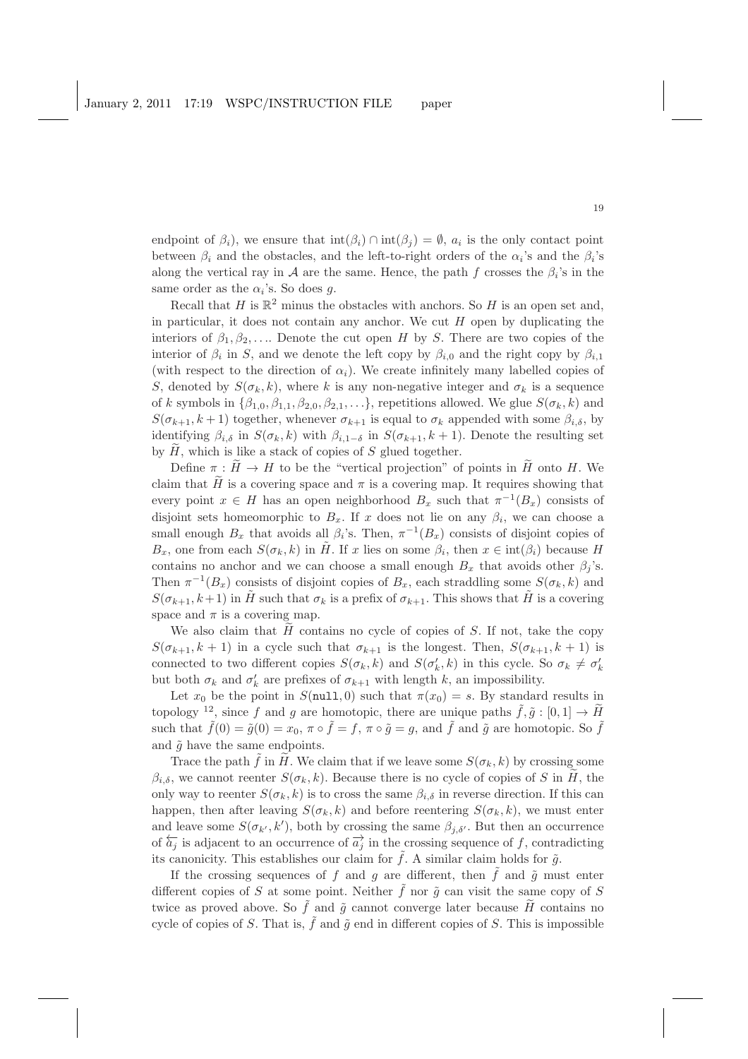endpoint of  $\beta_i$ , we ensure that  $\text{int}(\beta_i) \cap \text{int}(\beta_j) = \emptyset$ ,  $a_i$  is the only contact point between  $\beta_i$  and the obstacles, and the left-to-right orders of the  $\alpha_i$ 's and the  $\beta_i$ 's along the vertical ray in  $A$  are the same. Hence, the path f crosses the  $\beta_i$ 's in the same order as the  $\alpha_i$ 's. So does g.

Recall that H is  $\mathbb{R}^2$  minus the obstacles with anchors. So H is an open set and, in particular, it does not contain any anchor. We cut  $H$  open by duplicating the interiors of  $\beta_1, \beta_2, \ldots$  Denote the cut open H by S. There are two copies of the interior of  $\beta_i$  in S, and we denote the left copy by  $\beta_{i,0}$  and the right copy by  $\beta_{i,1}$ (with respect to the direction of  $\alpha_i$ ). We create infinitely many labelled copies of S, denoted by  $S(\sigma_k, k)$ , where k is any non-negative integer and  $\sigma_k$  is a sequence of k symbols in  $\{\beta_{1,0}, \beta_{1,1}, \beta_{2,0}, \beta_{2,1}, \ldots\}$ , repetitions allowed. We glue  $S(\sigma_k, k)$  and  $S(\sigma_{k+1}, k+1)$  together, whenever  $\sigma_{k+1}$  is equal to  $\sigma_k$  appended with some  $\beta_{i,\delta}$ , by identifying  $\beta_{i,\delta}$  in  $S(\sigma_k, k)$  with  $\beta_{i,1-\delta}$  in  $S(\sigma_{k+1}, k+1)$ . Denote the resulting set by  $H$ , which is like a stack of copies of S glued together.

Define  $\pi : \tilde{H} \to H$  to be the "vertical projection" of points in  $\tilde{H}$  onto H. We claim that H is a covering space and  $\pi$  is a covering map. It requires showing that every point  $x \in H$  has an open neighborhood  $B_x$  such that  $\pi^{-1}(B_x)$  consists of disjoint sets homeomorphic to  $B_x$ . If x does not lie on any  $\beta_i$ , we can choose a small enough  $B_x$  that avoids all  $\beta_i$ 's. Then,  $\pi^{-1}(B_x)$  consists of disjoint copies of  $B_x$ , one from each  $S(\sigma_k, k)$  in  $\tilde{H}$ . If x lies on some  $\beta_i$ , then  $x \in \text{int}(\beta_i)$  because H contains no anchor and we can choose a small enough  $B_x$  that avoids other  $\beta_i$ 's. Then  $\pi^{-1}(B_x)$  consists of disjoint copies of  $B_x$ , each straddling some  $S(\sigma_k, k)$  and  $S(\sigma_{k+1}, k+1)$  in  $\tilde{H}$  such that  $\sigma_k$  is a prefix of  $\sigma_{k+1}$ . This shows that  $\tilde{H}$  is a covering space and  $\pi$  is a covering map.

We also claim that  $H$  contains no cycle of copies of  $S$ . If not, take the copy  $S(\sigma_{k+1}, k+1)$  in a cycle such that  $\sigma_{k+1}$  is the longest. Then,  $S(\sigma_{k+1}, k+1)$  is connected to two different copies  $S(\sigma_k, k)$  and  $S(\sigma'_k, k)$  in this cycle. So  $\sigma_k \neq \sigma'_k$ but both  $\sigma_k$  and  $\sigma'_k$  are prefixes of  $\sigma_{k+1}$  with length k, an impossibility.

Let  $x_0$  be the point in  $S(\text{null}, 0)$  such that  $\pi(x_0) = s$ . By standard results in topology <sup>12</sup>, since f and g are homotopic, there are unique paths  $\tilde{f}, \tilde{g} : [0, 1] \to \tilde{H}$ such that  $\tilde{f}(0) = \tilde{g}(0) = x_0$ ,  $\pi \circ \tilde{f} = f$ ,  $\pi \circ \tilde{g} = g$ , and  $\tilde{f}$  and  $\tilde{g}$  are homotopic. So  $\tilde{f}$ and  $\tilde{q}$  have the same endpoints.

Trace the path f in H. We claim that if we leave some  $S(\sigma_k, k)$  by crossing some  $\beta_{i,\delta}$ , we cannot reenter  $S(\sigma_k, k)$ . Because there is no cycle of copies of S in  $H$ , the only way to reenter  $S(\sigma_k, k)$  is to cross the same  $\beta_{i,\delta}$  in reverse direction. If this can happen, then after leaving  $S(\sigma_k, k)$  and before reentering  $S(\sigma_k, k)$ , we must enter and leave some  $S(\sigma_{k'}, k')$ , both by crossing the same  $\beta_{j,\delta'}$ . But then an occurrence of  $\overleftarrow{a_j}$  is adjacent to an occurrence of  $\overrightarrow{a_j}$  in the crossing sequence of f, contradicting its canonicity. This establishes our claim for  $\tilde{f}$ . A similar claim holds for  $\tilde{g}$ .

If the crossing sequences of f and g are different, then  $\tilde{f}$  and  $\tilde{g}$  must enter different copies of S at some point. Neither  $\tilde{f}$  nor  $\tilde{g}$  can visit the same copy of S twice as proved above. So  $\tilde{f}$  and  $\tilde{g}$  cannot converge later because H contains no cycle of copies of S. That is,  $\tilde{f}$  and  $\tilde{q}$  end in different copies of S. This is impossible